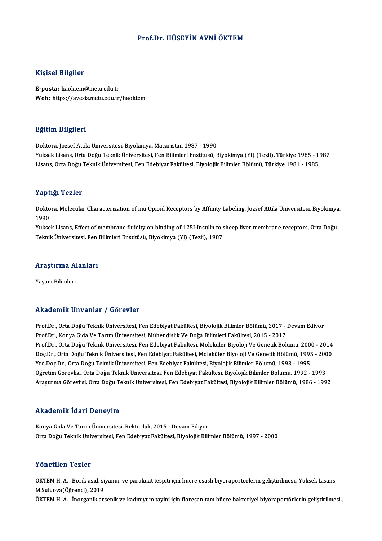## Prof.Dr.HÜSEYİN AVNİÖKTEM

## Kişisel Bilgiler

E-posta: haoktem@metu.edu.tr Web: https://avesis.metu.edu.tr/haoktem

### Eğitim Bilgileri

Doktora, Jozsef Attila Üniversitesi, Biyokimya, Macaristan 1987 - 1990 Yüksek Lisans, Orta Doğu Teknik Üniversitesi, Fen Bilimleri Enstitüsü, Biyokimya (Yl) (Tezli), Türkiye 1985 - 1987 Lisans, Orta Doğu Teknik Üniversitesi, Fen Edebiyat Fakültesi, Biyolojik Bilimler Bölümü, Türkiye 1981 - 1985

#### Yaptığı Tezler

Yaptığı Tezler<br>Doktora, Molecular Characterization of mu Opioid Receptors by Affinity Labeling, Jozsef Attila Üniversitesi, Biyokimya,<br>1990 1 ape<br>Dokto<br>1990<br><sup>Välses</sup> Doktora, Molecular Characterization of mu Opioid Receptors by Affinity Labeling, Jozsef Attila Üniversitesi, Biyokimya<br>1990<br>Yüksek Lisans, Effect of membrane fluidity on binding of 125I-Insulin to sheep liver membrane rece

1990<br>Yüksek Lisans, Effect of membrane fluidity on binding of 125I-Insulin to s<br>Teknik Üniversitesi, Fen Bilimleri Enstitüsü, Biyokimya (Yl) (Tezli), 1987

## reknik üniversitesi, ren<br>Araştırma Alanları <mark>Araştırma A</mark>l<br>Yaşam Bilimleri

## Akademik Unvanlar / Görevler

Akademik Unvanlar / Görevler<br>Prof.Dr., Orta Doğu Teknik Üniversitesi, Fen Edebiyat Fakültesi, Biyolojik Bilimler Bölümü, 2017 - Devam Ediyor<br>Prof.Dr., Kanya Cıda Ve Tarım Üniversitesi, Mühandislik Ve Doğa Bilimleri Fakülte rındu olirin "Olivulindi" / "UST ovtor"<br>Prof.Dr., Orta Doğu Teknik Üniversitesi, Fen Edebiyat Fakültesi, Biyolojik Bilimler Bölümü, 2017 -<br>Prof.Dr., Konya Gıda Ve Tarım Üniversitesi, Mühendislik Ve Doğa Bilimleri Fakültesi Prof.Dr., Orta Doğu Teknik Üniversitesi, Fen Edebiyat Fakültesi, Biyolojik Bilimler Bölümü, 2017 - Devam Ediyor<br>Prof.Dr., Konya Gıda Ve Tarım Üniversitesi, Mühendislik Ve Doğa Bilimleri Fakültesi, 2015 - 2017<br>Prof.Dr., Ort Prof.Dr., Konya Gıda Ve Tarım Üniversitesi, Mühendislik Ve Doğa Bilimleri Fakültesi, 2015 - 2017<br>Prof.Dr., Orta Doğu Teknik Üniversitesi, Fen Edebiyat Fakültesi, Moleküler Biyoloji Ve Genetik Bölümü, 2000 - 2014<br>Doç.Dr., O Prof.Dr., Orta Doğu Teknik Üniversitesi, Fen Edebiyat Fakültesi, Moleküler Biyoloji Ve Genetik Bölümü, 200<br>Doç.Dr., Orta Doğu Teknik Üniversitesi, Fen Edebiyat Fakültesi, Moleküler Biyoloji Ve Genetik Bölümü, 1993<br>Yrd.Doç. Doç.Dr., Orta Doğu Teknik Üniversitesi, Fen Edebiyat Fakültesi, Moleküler Biyoloji Ve Genetik Bölümü, 1995 - 200<br>Yrd.Doç.Dr., Orta Doğu Teknik Üniversitesi, Fen Edebiyat Fakültesi, Biyolojik Bilimler Bölümü, 1993 - 1995<br>Öğ Yrd.Doç.Dr., Orta Doğu Teknik Üniversitesi, Fen Edebiyat Fakültesi, Biyolojik Bilimler Bölümü, 1993 - 1995<br>Öğretim Görevlisi, Orta Doğu Teknik Üniversitesi, Fen Edebiyat Fakültesi, Biyolojik Bilimler Bölümü, 1992 - 1993<br>Ar

## Akademik İdari Deneyim

Konya Gıda Ve Tarım Üniversitesi, Rektörlük, 2015 - Devam Ediyor Orta Doğu Teknik Üniversitesi, Fen Edebiyat Fakültesi, Biyolojik Bilimler Bölümü, 1997 - 2000

### Yönetilen Tezler

Yönetilen Tezler<br>ÖKTEM H. A. , Borik asid, siyanür ve parakuat tespiti için hücre esaslı biyoraportörlerin geliştirilmesi., Yüksek Lisans,<br>M.Suluava(Öğrensi), 2019 TOROMOM TORICA<br>ÖKTEM H. A. , Borik asid, si<br>M.Suluova (Öğrenci), 2019<br>ÖKTEM H. A. , İnexsanik ax ÖKTEM H. A. , Borik asid, siyanür ve parakuat tespiti için hücre esaslı biyoraportörlerin geliştirilmesi., Yüksek Lisans,<br>M.Suluova(Öğrenci), 2019<br>ÖKTEM H. A. , İnorganik arsenik ve kadmiyum tayini için floresan tam hücre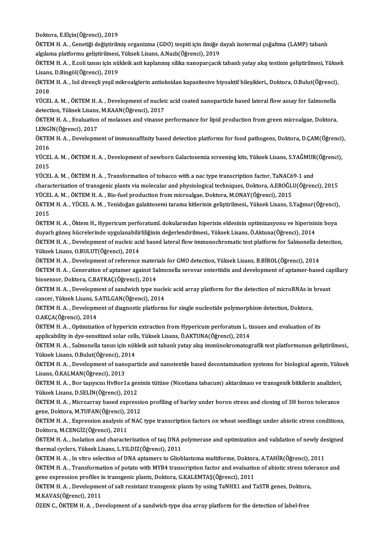Doktora,E.Elçin(Öğrenci),2019

Doktora, E.Elçin(Öğrenci), 2019<br>ÖKTEM H. A. , Genetiği değiştirilmiş organizma (GDO) tespiti için ilmiğe dayalı izotermal çoğaltma (LAMP) tabanlı<br>akulama platformu geliştirilmesi, Vülsek Lisana A Nazk(Öğrengi), 2019 Doktora, E.Elçin(Öğrenci), 2019<br>ÖKTEM H. A. , Genetiği değiştirilmiş organizma (GDO) tespiti için ilmiğe d<br>algılama platformu geliştirilmesi, Yüksek Lisans, A.Nazlı(Öğrenci), 2019<br>ÖKTEM H. A., Eseli tanısı isin pöldeik esi ÖKTEM H. A. , Genetiği değiştirilmiş organizma (GDO) tespiti için ilmiğe dayalı izotermal çoğaltma (LAMP) tabanlı<br>algılama platformu geliştirilmesi, Yüksek Lisans, A.Nazlı(Öğrenci), 2019<br>ÖKTEM H. A. , E.coli tanısı için nü

algılama platformu geliştirilmesi,<br>ÖKTEM H. A. , E.coli tanısı için nü<br>Lisans, D.Bingöl(Öğrenci), 2019<br>ÖKTEM H. A. , Isıl dirancli vesil m ÖKTEM H. A. , E.coli tanısı için nükleik asit kaplanmış silika nanoparçacık tabanlı yatay akış testinin geliştirilmesi, Yükse<br>Lisans, D.Bingöl(Öğrenci), 2019<br>ÖKTEM H. A. , Isıl dirençli yeşil mikroalglerin antioksidan kapa

Lisans, D.Bingöl(Öğrenci), 2019<br>ÖKTEM H. A. , Isıl dirençli yeşil n<br>2018 ÖKTEM H. A. , Isıl dirençli yeşil mikroalglerin antioksidan kapasitesive biyoaktif bileşikleri., Doktora, O.Bulut(Öğrenci), 2018<br>YÜCEL A. M. , ÖKTEM H. A. , Development of nucleic acid coated nanoparticle based lateral flo

YÜCEL A. M., ÖKTEM H. A., Development of nucleic acid coated nanoparticle based lateral flow assay for Salmonella YÜCEL A. M. , ÖKTEM H. A. , Development of nucleic acid coated nanoparticle based lateral flow assay for Salmonella<br>detection, Yüksek Lisans, M.KAAN(Öğrenci), 2017<br>ÖKTEM H. A. , Evaluation of molasses and vinasse performan

detection, Yüksek Lisans,<br>ÖKTEM H. A. , Evaluation<br>I.ENGİN(Öğrenci), 2017<br>Ö<sup>KTEM H. A.</sup> Develenm ÖKTEM H. A. , Evaluation of molasses and vinasse performance for lipid production from green microalgae, Doktora,<br>I.ENGİN(Öğrenci), 2017<br>ÖKTEM H. A. , Development of immunoaffinity based detection platforms for food pathog

I.ENGİN(Öğrenci), 2017<br>ÖKTEM H. A. , Development of immunoaffinity based detection platforms for food pathogens, Doktora, D.ÇAM(Öğrenci),<br>2016 ÖKTEM H. A. , Development of immunoaffinity based detection platforms for food pathogens, Doktora, D.ÇAM(Öğrenci)<br>2016<br>YÜCEL A. M. , ÖKTEM H. A. , Development of newborn Galactosemia screening kits, Yüksek Lisans, S.YAĞMUR

2016<br>YÜCEI<br>2015<br>VÜCEI YÜCEL A. M. , ÖKTEM H. A. , Development of newborn Galactosemia screening kits, Yüksek Lisans, S.YAĞMUR<br>2015<br>YÜCEL A. M. , ÖKTEM H. A. , Transformation of tobacco with a nac type transcription factor, TaNAC69-1 and<br>sharast

2015<br>YÜCEL A. M. , ÖKTEM H. A. , Transformation of tobacco with a nac type transcription factor, TaNAC69-1 and<br>characterization of transgenic plants via molecular and physiological techniques, Doktora, A.EROĞLU(Öğrenci), 2 YÜCEL A. M., ÖKTEM H. A., Transformation of tobacco with a nac type transcription factor, TaNAC69-1 and characterization of transgenic plants via molecular and physiological techniques, Doktora, A.EROĞLU(Öğrenci), 2015<br>YÜCEL A. M. , ÖKTEM H. A. , Bio-fuel production from microalgae, Doktora, M.ONAY(Öğrenci), 2015<br>ÖKTEM H. A.

YÜCEI<br>ÖKTEI<br>2015<br>ÖVTEI ÖKTEM H. A. , YÜCEL A. M. , Yenidoğan galaktosemi tarama kitlerinin geliştirilmesi., Yüksek Lisans, S.Yağmur(Öğrenci)<br>2015<br>ÖKTEM H. A. , Öktem H., Hypericum perforatuml. dokularından hiperisin eldesinin optimizasyonu ve hi

2015<br>ÖKTEM H. A. , Öktem H., Hypericum perforatuml. dokularından hiperisin eldesinin optimizasyonu ve hiperisin<br>duyarlı güneş hücrelerinde uygulanabilirliliğinin değerlendirilmesi., Yüksek Lisans, Ö.Aktuna(Öğrenci), 2014<br>Ö ÖKTEM H. A. , Öktem H., Hypericum perforatuml. dokularından hiperisin eldesinin optimizasyonu ve hiperisinin boya<br>duyarlı güneş hücrelerinde uygulanabilirliliğinin değerlendirilmesi., Yüksek Lisans, Ö.Aktuna(Öğrenci), 2014

duyarlı güneş hücrelerinde uygulanabilir<br>ÖKTEM H. A. , Development of nucleic aci<br>Yüksek Lisans, O.BULUT(Öğrenci), 2014<br>ÖKTEM H. A., Development of reference ÖKTEM H. A. , Development of nucleic acid based lateral flow immunochromatic test platform for Salmonella de<br>Yüksek Lisans, O.BULUT(Öğrenci), 2014<br>ÖKTEM H. A. , Development of reference materials for GMO detection, Yüksek

Yüksek Lisans, O.BULUT(Öğrenci), 2014<br>ÖKTEM H. A. , Development of reference materials for GMO detection, Yüksek Lisans, B.BİROL(Öğrenci), 2014<br>ÖKTEM H. A. , Generation of aptamer against Salmonella serovar enteritidis and ÖKTEM H. A. , Development of reference materials for GMO detection, Yüksek Lisans, B.BİROL(Öğrenci), 2014<br>ÖKTEM H. A. , Generation of aptamer against Salmonella serovar enteritidis and development of aptamer-base<br>biosensor ÖKTEM H. A. , Generation of aptamer against Salmonella serovar enteritidis and development of aptamer-based ca<br>biosensor, Doktora, C.BAYRAÇ(Öğrenci), 2014<br>ÖKTEM H. A. , Development of sandwich type nucleic acid array platf

biosensor, Doktora, C.BAYRAÇ(Öğrenci), 2014<br>ÖKTEM H. A. , Development of sandwich type nucle<br>cancer, Yüksek Lisans, S.ATILGAN(Öğrenci), 2014<br>ÖKTEM H. A. , Development of diagnestis platform ÖKTEM H. A. , Development of sandwich type nucleic acid array platform for the detection of microRNAs in<br>cancer, Yüksek Lisans, S.ATILGAN(Öğrenci), 2014<br>ÖKTEM H. A. , Development of diagnostic platforms for single nucleoti

cancer, Yüksek Lisans, S.ATILGAN(Öğrenci), 2014<br>ÖKTEM H. A. , Development of diagnostic platforms for single nucleotide polymorphism detection, Doktora,<br>O.AKCA(Öğrenci), 2014 ÖKTEM H. A. , Development of diagnostic platforms for single nucleotide polymorphism detection, Doktora,<br>O.AKÇA(Öğrenci), 2014<br>ÖKTEM H. A. , Optimization of hypericin extraction from Hypericum perforatum L. tissues and eva

0.AKÇA(Öğrenci), 2014<br>ÖKTEM H. A. , Optimization of hypericin extraction from Hypericum perforatum L. ti<br>applicability in dye-sensitized solar cells, Yüksek Lisans, Ö.AKTUNA(Öğrenci), 2014<br>ÖKTEM H. A., Salmanella tanısı is applicability in dye-sensitized solar cells, Yüksek Lisans, Ö.AKTUNA(Öğrenci), 2014

ÖKTEM H. A. , Salmonella tanısı için nükleik asit tabanlı yatay akış immünokromatografik test platformunun geliştirilmesi., Yüksek Lisans, O.Bulut(Öğrenci), 2014

ÖKTEM H. A. , Development of nanoparticle and nanotextile based decontamination systems for biological agents, Yüksek<br>Lisans, Ö.KALMAN(Öğrenci), 2013 ÖKTEM H. A. , Development of nanoparticle and nanotextile based decontamination systems for biological agents, Yüks<br>Lisans, Ö.KALMAN(Öğrenci), 2013<br>ÖKTEM H. A. , Bor taşıyıcısı HvBor1a geninin tütüne (Nicotiana tabacum) ak

Lisans, Ö.KALMAN(Öğrenci), 2013<br>ÖKTEM H. A. , Bor taşıyıcısı HvBor1a ger<br>Yüksek Lisans, D.SELİN(Öğrenci), 2012<br>ÖKTEM H. A. Misroarray based express ÖKTEM H. A. , Bor taşıyıcısı HvBor1a geninin tütüne (Nicotiana tabacum) aktarılması ve transgenik bitkilerin analizleri,<br>Yüksek Lisans, D.SELİN(Öğrenci), 2012<br>ÖKTEM H. A. , Microarray based expression profiling of barley u

Yüksek Lisans, D.SELİN(Öğrenci), 2012<br>ÖKTEM H. A. , Microarray based expression profiling of barley under boron stress and cloning of 3H boron tolerance<br>gene, Doktora, M.TUFAN(Öğrenci), 2012 ÖKTEM H. A. , Microarray based expression profiling of barley under boron stress and cloning of 3H boron tolerance<br>gene, Doktora, M.TUFAN(Öğrenci), 2012<br>ÖKTEM H. A. , Expression analysis of NAC type transcription factors o

gene, Doktora, M.TUFAN(Öğrenci), 2<br>ÖKTEM H. A. , Expression analysis of<br>Doktora, M.CENGİZ(Öğrenci), 2011<br>ÖKTEM H. A. , Isolation and sharasts ÖKTEM H. A. , Expression analysis of NAC type transcription factors on wheat seedlings under abiotic stress conditions,<br>Doktora, M.CENGİZ(Öğrenci), 2011<br>ÖKTEM H. A. , Isolation and characterization of taq DNA polymerase an

Doktora, M.CENGİZ(Öğrenci), 2011<br>ÖKTEM H. A. , Isolation and characterization of taq DNA polymerase and optimization and validation of newly designed<br>thermal cyclers, Yüksek Lisans, L.YILDIZ(Öğrenci), 2011 ÖKTEM H. A. , Isolation and characterization of taq DNA polymerase and optimization and validation of newly de<br>thermal cyclers, Yüksek Lisans, L.YILDIZ(Öğrenci), 2011<br>ÖKTEM H. A. , In vitro selection of DNA aptamers to Gli

thermal cyclers, Yüksek Lisans, L.YILDIZ(Öğrenci), 2011<br>ÖKTEM H. A. , In vitro selection of DNA aptamers to Glioblastoma multiforme, Doktora, A.TAHİR(Öğrenci), 2011<br>ÖKTEM H. A. , Transformation of potato with MYB4 transcri ÖKTEM H. A. , In vitro selection of DNA aptamers to Glioblastoma multiforme, Doktora<br>ÖKTEM H. A. , Transformation of potato with MYB4 transcription factor and evaluation<br>gene expression profiles in transgenic plants, Dokto ÖKTEM H. A. , Transformation of potato with MYB4 transcription factor and evaluation of abiotic stress tole<br>gene expression profiles in transgenic plants, Doktora, G.KALEMTAŞ(Öğrenci), 2011<br>ÖKTEM H. A. , Development of sal

gene expression profiles in transgenic plants, Doktora, G.KALEMTAŞ(Öğrenci), 2011<br>ÖKTEM H. A. , Development of salt resistant transgenic plants by using TaNHX1 and TaSTR genes, Doktora,<br>M.KAVAS(Öğrenci), 2011

ÖZEN C., ÖKTEM H. A., Development of a sandwich-type dna array platform for the detection of label-free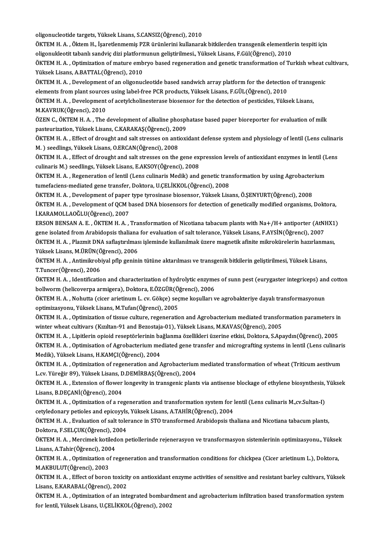oligonucleotide targets,YüksekLisans,S.CANSIZ(Öğrenci),2010

oligonucleotide targets, Yüksek Lisans, S.CANSIZ(Öğrenci), 2010<br>ÖKTEM H. A. , Öktem H., İşaretlenmemiş PZR ürünlerini kullanarak bitkilerden transgenik elementlerin tespiti için<br>Alizanuklestit tabanlı sandyiş diri platform oligonucleotide targets, Yüksek Lisans, S.CANSIZ(Öğrenci), 2010<br>ÖKTEM H. A. , Öktem H., İşaretlenmemiş PZR ürünlerini kullanarak bitkilerden transgenik elementler<br>oligonukleotit tabanlı sandviç dizi platformunun geliştiril ÖKTEM H. A. , Öktem H., İşaretlenmemiş PZR ürünlerini kullanarak bitkilerden transgenik elementlerin tespiti için<br>oligonukleotit tabanlı sandviç dizi platformunun geliştirilmesi., Yüksek Lisans, F.Gül(Öğrenci), 2010<br>ÖKTEM

oligonukleotit tabanlı sandviç dizi platform<br>ÖKTEM H. A. , Optimization of mature emb<br>Yüksek Lisans, A.BATTAL(Öğrenci), 2010<br>ÖKTEM H. A. , Develenment of an eligonye ÖKTEM H. A. , Optimization of mature embryo based regeneration and genetic transformation of Turkish wheat c<br>Yüksek Lisans, A.BATTAL(Öğrenci), 2010<br>ÖKTEM H. A. , Development of an oligonucleotide based sandwich array platf

Yüksek Lisans, A.BATTAL(Öğrenci), 2010<br>ÖKTEM H. A. , Development of an oligonucleotide based sandwich array platform for the detectior<br>elements from plant sources using label-free PCR products, Yüksek Lisans, F.GÜL(Öğrenci ÖKTEM H. A. , Development of an oligonucleotide based sandwich array platform for the detection of transg<br>elements from plant sources using label-free PCR products, Yüksek Lisans, F.GÜL(Öğrenci), 2010<br>ÖKTEM H. A. , Develop

elements from plant sources using label-free PCR products, Yüksek Lisans, F.GÜL(Öğrenci), 2010<br>ÖKTEM H. A. , Development of acetylcholinesterase biosensor for the detection of pesticides, Yüksek Lisans,<br>M.KAVRUK(Öğrenci), ÖKTEM H. A. , Development of acetylcholinesterase biosensor for the detection of pesticides, Yüksek Lisans,<br>M.KAVRUK(Öğrenci), 2010<br>ÖZEN C., ÖKTEM H. A. , The development of alkaline phosphatase based paper bioreporter for

M.KAVRUK(Öğrenci), 2010<br>ÖZEN C., ÖKTEM H. A. , The development of alkaline phosph<br>pasteurization, Yüksek Lisans, C.KARAKAŞ(Öğrenci), 2009<br>ÖKTEM H. A., Effect of drought and selt stresses on antiovi ÖZEN C., ÖKTEM H. A. , The development of alkaline phosphatase based paper bioreporter for evaluation of milk<br>pasteurization, Yüksek Lisans, C.KARAKAŞ(Öğrenci), 2009<br>ÖKTEM H. A. , Effect of drought and salt stresses on ant

pasteurization, Yüksek Lisans, C.KARAKAŞ(Öğrenci), 2009<br>ÖKTEM H. A. , Effect of drought and salt stresses on antioxidant defense system and physiology of lentil (Lens culinaris<br>M. ) seedlings, Yüksek Lisans, O.ERCAN(Öğrenc ÖKTEM H. A. , Effect of drought and salt stresses on antioxidant defense system and physiology of lentil (Lens culinar<br>M. ) seedlings, Yüksek Lisans, O.ERCAN(Öğrenci), 2008<br>ÖKTEM H. A. , Effect of drought and salt stresses

M. ) seedlings, Yüksek Lisans, O.ERCAN(Öğrenci), 2008<br>ÖKTEM H. A. , Effect of drought and salt stresses on the gene experiments M.) seedlings, Yüksek Lisans, E.AKSOY(Öğrenci), 2008<br>ÖKTEM H. A. , Pegeneration of lentil (Len ÖKTEM H. A. , Effect of drought and salt stresses on the gene expression levels of antioxidant enzymes in lentil (L<br>culinaris M.) seedlings, Yüksek Lisans, E.AKSOY(Öğrenci), 2008<br>ÖKTEM H. A. , Regeneration of lentil (Lens

culinaris M.) seedlings, Yüksek Lisans, E.AKSOY(Öğrenci), 2008<br>ÖKTEM H. A. , Regeneration of lentil (Lens culinaris Medik) and genetic tran<br>tumefaciens-mediated gene transfer, Doktora, U.ÇELİKKOL(Öğrenci), 2008<br>ÖKTEM H. A. ÖKTEM H. A. , Regeneration of lentil (Lens culinaris Medik) and genetic transformation by using Agrobacter<br>tumefaciens-mediated gene transfer, Doktora, U.ÇELİKKOL(Öğrenci), 2008<br>ÖKTEM H. A. , Development of paper type tyro

tumefaciens-mediated gene transfer, Doktora, U.ÇELİKKOL(Öğrenci), 2008<br>ÖKTEM H. A. , Development of paper type tyrosinase biosensor, Yüksek Lisans, Ö.ŞENYURT(Öğrenci), 2008<br>ÖKTEM H. A. , Development of QCM based DNA biosen İ.KARAMOLLAOĞLU(Öğrenci),2007 ÖKTEM H. A. , Development of QCM based DNA biosensors for detection of genetically modified organisms, Doktora,<br>İ.KARAMOLLAOĞLU(Öğrenci), 2007<br>ERSON BENSAN A. E. , ÖKTEM H. A. , Transformation of Nicotiana tabacum plants w

İ.KARAMOLLAOĞLU(Öğrenci), 2007<br>ERSON BENSAN A. E. , ÖKTEM H. A. , Transformation of Nicotiana tabacum plants with Na+/H+ antiporter (AtNI<br>gene isolated from Arabidopsis thaliana for evaluation of salt tolerance, Yüksek Li ERSON BENSAN A. E. , ÖKTEM H. A. , Transformation of Nicotiana tabacum plants with Na+/H+ antiporter (AtNHX1<br>gene isolated from Arabidopsis thaliana for evaluation of salt tolerance, Yüksek Lisans, F.AYSİN(Öğrenci), 2007<br>Ö gene isolated from Arabidopsis thaliana<br>ÖKTEM H. A. , Plazmit DNA saflaştırılmas<br>Yüksek Lisans, M.ÜRÜN(Öğrenci), 2006<br>ÖKTEM H. A. , Antimilmobiyal pflp genini

ÖKTEM H. A. , Plazmit DNA saflaştırılması işleminde kullanılmak üzere magnetik afinite mikrokürelerin hazırlanma<br>Yüksek Lisans, M.ÜRÜN(Öğrenci), 2006<br>ÖKTEM H. A. , Antimikrobiyal pflp geninin tütüne aktarılması ve transgen Yüksek Lisans, M.ÜRÜN(Öğrenci), 2006<br>ÖKTEM H. A. , Antimikrobiyal pflp geninin tütüne aktarılması ve transgenik bitkilerin geliştirilmesi, Yüksek Lisans,<br>T.Tuncer(Öğrenci), 2006<br>ÖKTEM H. A. , Identification and characteriz ÖKTEM H. A. , Antimikrobiyal pflp geninin tütüne aktarılması ve transgenik bitkilerin geliştirilmesi, Yüksek Lisans,

bollworm (helicoverpa armigera), Doktora, E.ÖZGÜR(Öğrenci), 2006 ÖKTEM H. A. , Identification and characterization of hydrolytic enzymes of sunn pest (eurygaster integriceps) and<br>bollworm (helicoverpa armigera), Doktora, E.ÖZGÜR(Öğrenci), 2006<br>ÖKTEM H. A. , Nohutta (cicer arietinum L. c

bollworm (helicoverpa armigera), Doktora, E.ÖZGÜR(Ö)<br>ÖKTEM H. A. , Nohutta (cicer arietinum L. cv. Gökçe) seç<br>optimizasyonu, Yüksek Lisans, M.Tufan(Öğrenci), 2005<br>ÖKTEM H. A. , Optimiration of tissue sulture, reseperatio ÖKTEM H. A. , Nohutta (cicer arietinum L. cv. Gökçe) seçme koşulları ve agrobakteriye dayalı transformasyonun<br>optimizasyonu, Yüksek Lisans, M.Tufan(Öğrenci), 2005<br>ÖKTEM H. A. , Optimization of tissue culture, regeneration

optimizasyonu, Yüksek Lisans, M.Tufan(Öğrenci), 2005<br>ÖKTEM H. A. , Optimization of tissue culture, regeneration and Agrobacterium mediated transfo<br>winter wheat cultivars (Kızıltan-91 and Bezostaja-01), Yüksek Lisans, M.KAV ÖKTEM H.A. , Optimization of tissue culture, regeneration and Agrobacterium mediated transformation parameters in

winter wheat cultivars (Kızıltan-91 and Bezostaja-01), Yüksek Lisans, M.KAVAS(Öğrenci), 2005<br>ÖKTEM H. A. , Lipitlerin opioid reseptörlerinin bağlanma özellikleri üzerine etkisi, Doktora, S.Apaydın(Öğrenci), 2005<br>ÖKTEM H. A ÖKTEM H. A. , Lipitlerin opioid reseptörlerinin bağlanma özellikleri üzerine etkisi, Doktora, S.Apaydın(Öğrenci), 2005<br>ÖKTEM H. A. , Optimisation of Agrobacterium mediated gene transfer and micrografting systems in lentil

ÖKTEM H. A. , Optimisation of Agrobacterium mediated gene transfer and micrografting systems in lentil (Lens culinari:<br>Medik), Yüksek Lisans, H.KAMÇI(Öğrenci), 2004<br>ÖKTEM H. A. , Optimization of regeneration and Agrobacter ÖKTEM H. A. , Optimization of regeneration and Agrobacterium mediated transformation of wheat (Triticum aestivum<br>L.cv. Yüreğir 89), Yüksek Lisans, D.DEMİRBAŞ(Öğrenci), 2004 ÖKTEM H. A. , Optimization of regeneration and Agrobacterium mediated transformation of wheat (Triticum aestivum<br>L.cv. Yüreğir 89), Yüksek Lisans, D.DEMİRBAŞ(Öğrenci), 2004<br>ÖKTEM H. A. , Extension of flower longevity in tr

L.cv. Yüreğir 89), Yüksek Lisans, D.<br>ÖKTEM H. A. , Extension of flower<br>Lisans, B.DEÇANİ(Öğrenci), 2004<br>ÖKTEM H. A. , Ontimization of a re ÖKTEM H. A. , Extension of flower longevity in transgenic plants via antisense blockage of ethylene biosynthesis,<br>Lisans, B.DEÇANİ(Öğrenci), 2004<br>ÖKTEM H. A. , Optimization of a regeneration and transformation system for l

Lisans, B.DEÇANİ(Öğrenci), 2004<br>ÖKTEM H. A. , Optimization of a regeneration and transformation system for lentil (Lens culinaris M.,cv.Sultan-I)<br>cetyledonary petioles and epicoyyls, Yüksek Lisans, A.TAHİR(Öğrenci), 2004 ÖKTEM H. A. , Optimization of a regeneration and transformation system for lentil (Lens culinaris M.,cv.Sultan-I)<br>cetyledonary petioles and epicoyyls, Yüksek Lisans, A.TAHİR(Öğrenci), 2004<br>ÖKTEM H. A. , Evaluation of salt

Cetyledonary petioles and epicoyyls<br>ÖKTEM H. A. , Evaluation of salt tole<br>Doktora, F.SELÇUK(Öğrenci), 2004<br>ÖKTEM H. A. Morgimek katileden n ÖKTEM H. A. , Evaluation of salt tolerance in STO transformed Arabidopsis thaliana and Nicotiana tabacum plants,<br>Doktora, F.SELÇUK(Öğrenci), 2004<br>ÖKTEM H. A. , Mercimek kotiledon petiollerinde rejenerasyon ve transformasyo

Doktora, F.SELÇUK(Öğrenci), 20<br>ÖKTEM H. A. , Mercimek kotiled<br>Lisans, A.Tahir(Öğrenci), 2004<br>ÖKTEM H. A. , Ontimization of ra ÖKTEM H. A. , Mercimek kotiledon petiollerinde rejenerasyon ve transformasyon sistemlerinin optimizasyonu., Yüksel<br>Lisans, A.Tahir(Öğrenci), 2004<br>ÖKTEM H. A. , Optimization of regeneration and transformation conditions for

Lisans, A.Tahir(Öğrenci), 2004<br>ÖKTEM H. A. , Optimization of regeneration and transformation conditions for chickpea (Cicer arietinum L.), Doktora,<br>M.AKBULUT(Öğrenci), 2003 ÖKTEM H. A. , Optimization of regeneration and transformation conditions for chickpea (Cicer arietinum L.), Doktora,<br>M.AKBULUT(Öğrenci), 2003<br>ÖKTEM H. A. , Effect of boron toxicity on antioxidant enzyme activities of sensi

M.AKBULUT(Öğrenci), 2003<br>ÖKTEM H. A. , Effect of boron toxicit<br>Lisans, E.KARABAL(Öğrenci), 2002<br>ÖVTEM H. A. , Ontimization of an int ÖKTEM H. A. , Effect of boron toxicity on antioxidant enzyme activities of sensitive and resistant barley cultivars, Yüksek<br>Lisans, E.KARABAL(Öğrenci), 2002<br>ÖKTEM H. A. , Optimization of an integrated bombardment and agrob

Lisans, E.KARABAL(Öğrenci), 2002<br>ÖKTEM H. A. , Optimization of an integrated bombardment and agrobacterium infiltration based transformation system<br>for lentil, Yüksek Lisans, U.ÇELİKKOL(Öğrenci), 2002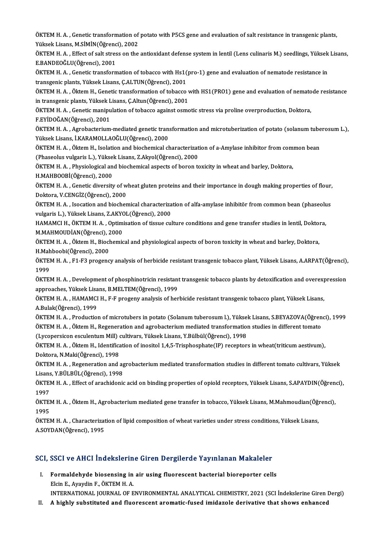ÖKTEM H. A. , Genetic transformation of potato with P5CS gene and evaluation of salt resistance in transgenic plants,<br>Viktork Ligans, M.S.M.N.(Öğrensi), 2002 ÖKTEM H. A. , Genetic transformation of<br>Yüksek Lisans, M.SİMİN(Öğrenci), 2002<br>ÖKTEM H. A., Effect of salt strass on the ÖKTEM H. A. , Genetic transformation of potato with P5CS gene and evaluation of salt resistance in transgenic plants,<br>Yüksek Lisans, M.SİMİN(Öğrenci), 2002<br>ÖKTEM H. A. , Effect of salt stress on the antioxidant defense sys

Yüksek Lisans, M.SİMİN (Öğrenc<br>ÖKTEM H. A. , Effect of salt stres<br>E.BANDEOĞLU (Öğrenci), 2001<br>Ö<sup>LTEM H.</sub> A. , Constis transform</sup> ÖKTEM H. A. , Effect of salt stress on the antioxidant defense system in lentil (Lens culinaris M.) seedlings, Yüksek<br>E.BANDEOĞLU(Öğrenci), 2001<br>ÖKTEM H. A. , Genetic transformation of tobacco with Hs1(pro-1) gene and eval

E.BANDEOĞLU(Öğrenci), 2001<br>ÖKTEM H. A. , Genetic transformation of tobacco with Hs1(pro-1) gene and evaluation of nematode resistance in<br>transgenic plants, Yüksek Lisans, Ç.ALTUN(Öğrenci), 2001 ÖKTEM H. A. , Genetic transformation of tobacco with Hs1(pro-1) gene and evaluation of nematode resistance in<br>transgenic plants, Yüksek Lisans, Ç.ALTUN(Öğrenci), 2001<br>ÖKTEM H. A. , Öktem H., Genetic transformation of tobac

transgenic plants, Yüksek Lisans, Ç.ALTUN(Öğrenci), 2001<br>ÖKTEM H. A. , Öktem H., Genetic transformation of tobacco v<br>in transgenic plants, Yüksek Lisans, Ç.Altun(Öğrenci), 2001<br>ÖKTEM H. A., Cenetic manipulation of tobacco ÖKTEM H. A. , Öktem H., Genetic transformation of tobacco with HS1(PRO1) gene and evaluation of nemato<br>in transgenic plants, Yüksek Lisans, Ç.Altun(Öğrenci), 2001<br>ÖKTEM H. A. , Genetic manipulation of tobacco against osmot

in transgenic plants, Yüksek Lisans, Ç.Altun(Öğrenci), 2001<br>ÖKTEM H. A. , Genetic manipulation of tobacco against osmotic stress via proline overproduction, Doktora,<br>F.EYİDOĞAN(Öğrenci), 2001 ÖKTEM H. A. , Genetic manipulation of tobacco against osmotic stress via proline overproduction, Doktora,<br>F.EYİDOĞAN(Öğrenci), 2001<br>ÖKTEM H. A. , Agrobacterium-mediated genetic transformation and microtuberization of potat

F.EYİDOĞAN(Öğrenci), 2001<br>ÖKTEM H. A. , Agrobacterium-mediated genetic tran:<br>Yüksek Lisans, İ.KARAMOLLAOĞLU(Öğrenci), 2000<br>ÖKTEM H. A. Öltem H. Jeolation and bioshemisel sk ÖKTEM H. A. , Agrobacterium-mediated genetic transformation and microtuberization of potato (solanum tube<br>Yüksek Lisans, İ.KARAMOLLAOĞLU(Öğrenci), 2000<br>ÖKTEM H. A. , Öktem H., Isolation and biochemical characterization of

Yüksek Lisans, İ.KARAMOLLAOĞLU(Öğrenci), 2000<br>ÖKTEM H. A. , Öktem H., Isolation and biochemical characterizat<br>(Phaseolus vulgaris L.), Yüksek Lisans, Z.Akyol(Öğrenci), 2000<br>ÖKTEM H. A., Physiologisel and biochemical senest ÖKTEM H. A. , Öktem H., Isolation and biochemical characterization of a-Amylase inhibitor from common bean<br>(Phaseolus vulgaris L.), Yüksek Lisans, Z.Akyol(Öğrenci), 2000<br>ÖKTEM H. A. , Physiological and biochemical aspects

(Phaseolus vulgaris L.), Yükse<br>ÖKTEM H. A. , Physiological an<br>H.MAHBOOBİ(Öğrenci), 2000<br>ÖVTEM H. A. , Constis divensit

ÖKTEM H. A. , Physiological and biochemical aspects of boron toxicity in wheat and barley, Doktora,<br>H.MAHBOOBİ(Öğrenci), 2000<br>ÖKTEM H. A. , Genetic diversity of wheat gluten proteins and their importance in dough making pr H.MAHBOOBİ(Öğrenci), 2000<br>ÖKTEM H. A. , Genetic diversity of w<br>Doktora, V.CENGİZ(Öğrenci), 2000<br>ÖKTEM H. A. , Isesstien and biosber ÖKTEM H. A. , Genetic diversity of wheat gluten proteins and their importance in dough making properties of flour,<br>Doktora, V.CENGİZ(Öğrenci), 2000<br>ÖKTEM H. A. , Isocation and biochemical characterization of alfa-amylase i

Doktora, V.CENGİZ(Öğrenci), 2000<br>ÖKTEM H. A. , Isocation and biochemical characteriza<br>vulgaris L.), Yüksek Lisans, Z.AKYOL(Öğrenci), 2000<br>HAMAMCLH, ÖKTEM H.A., Optimisation of tissus sul ÖKTEM H. A. , Isocation and biochemical characterization of alfa-amylase inhibitör from common bean (phaseolu<br>vulgaris L.), Yüksek Lisans, Z.AKYOL(Öğrenci), 2000<br>HAMAMCI H., ÖKTEM H. A. , Optimisation of tissue culture con

vulgaris L.), Yüksek Lisans, Z.AKYOL(Öğrenci), 2000<br>HAMAMCI H., ÖKTEM H. A. , Optimisation of tissue culture conditions and gene transfer studies in lentil, Doktora,<br>M.MAHMOUDİAN(Öğrenci), 2000 HAMAMCI H., ÖKTEM H. A. , Optimisation of tissue culture conditions and gene transfer studies in lentil, Doktor<br>M.MAHMOUDİAN(Öğrenci), 2000<br>ÖKTEM H. A. , Öktem H., Biochemical and physiological aspects of boron toxicity in

M.MAHMOUDİAN(Öğrenci), 2<br>ÖKTEM H. A. , Öktem H., Biocl<br>H.Mahboobi(Öğrenci), 2000<br>Ö<sup>LTEM H. A. E1 E2 progong</sup> ÖKTEM H. A. , Öktem H., Biochemical and physiological aspects of boron toxicity in wheat and barley, Doktora,<br>H.Mahboobi(Öğrenci), 2000<br>ÖKTEM H. A. , F1-F3 progency analysis of herbicide resistant transgenic tobacco plant,

H.Mah<br>ÖKTEI<br>1999<br>ÖKTEI ÖKTEM H. A. , F1-F3 progency analysis of herbicide resistant transgenic tobacco plant, Yüksek Lisans, A.ARPAT(Öğrenci),<br>1999<br>ÖKTEM H. A. , Development of phosphinotricin resistant transgenic tobacco plants by detoxificatio

1999<br>ÖKTEM H. A. , Development of phosphinotricin resistant transgenic tobacco plants by detoxification and overexpression<br>approaches, Yüksek Lisans, B.MELTEM(Öğrenci), 1999 ÖKTEM H. A. , Development of phosphinotricin resistant transgenic tobacco plants by detoxification and overexp<br>approaches, Yüksek Lisans, B.MELTEM(Öğrenci), 1999<br>ÖKTEM H. A. , HAMAMCI H., F-F progeny analysis of herbicide

approaches, Yüksek Lisa<br>ÖKTEM H. A. , HAMAMCI<br>A.Bulak(Öğrenci), 1999<br>Ö<sup>KTEM H. A.</sup> , Brodustio ÖKTEM H. A. , HAMAMCI H., F-F progeny analysis of herbicide resistant transgenic tobacco plant, Yüksek Lisans,<br>A.Bulak(Öğrenci), 1999<br>ÖKTEM H. A. , Production of microtubers in potato (Solanum tuberosum l.), Yüksek Lisans,

A.Bulak(Öğrenci), 1999<br>ÖKTEM H. A. , Production of microtubers in potato (Solanum tuberosum l.), Yüksek Lisans, S.BEYAZOVA(Öğren<br>ÖKTEM H. A. , Öktem H., Regeneration and agrobacterium mediated transformation studies in dif ÖKTEM H. A. , Production of microtubers in potato (Solanum tuberosum l.), Yüksel<br>ÖKTEM H. A. , Öktem H., Regeneration and agrobacterium mediated transformation<br>(Lycopersicon esculentum Mill) cultivars, Yüksek Lisans, Y.Bül

ÖKTEM H. A. , Öktem H., Regeneration and agrobacterium mediated transformation studies in different tomato<br>(Lycopersicon esculentum Mill) cultivars, Yüksek Lisans, Y.Bülbül(Öğrenci), 1998<br>ÖKTEM H. A. , Öktem H., Identifica (Lycopersicon esculentum Mill) cultivars, Yüksek Lisans, Y.Bülbül(Öğrenci), 1998<br>ÖKTEM H. A. , Öktem H., Identification of inositol 1,4,5-Trisphosphate(IP) receptors in wheat(triticum aestivum),<br>Doktora, N.Maki(Öğrenci), 1 ÖKTEM H. A. , Öktem H., Identification of inositol 1,4,5-Trisphosphate(IP) receptors in wheat(triticum aestivum),<br>Doktora, N.Maki(Öğrenci), 1998<br>ÖKTEM H. A. , Regeneration and agrobacterium mediated transformation studies

Doktora, N.Maki(Öğrenci), 1998<br>ÖKTEM H. A. , Regeneration and ag<br>Lisans, Y.BÜLBÜL(Öğrenci), 1998<br>ÖKTEM H. A. , Effect of arachidenis ÖKTEM H. A. , Regeneration and agrobacterium mediated transformation studies in different tomato cultivars, Yüksek<br>Lisans, Y.BÜLBÜL(Öğrenci), 1998<br>ÖKTEM H. A. , Effect of arachidonic acid on binding properties of opiold re

Lisans<br>ÖKTEI<br>1997<br>ÖKTEI ÖKTEM H. A. , Effect of arachidonic acid on binding properties of opiold receptors, Yüksek Lisans, S.APAYDIN(Öğren<br>1997<br>ÖKTEM H. A. , Öktem H., Agrobacterium mediated gene transfer in tobacco, Yüksek Lisans, M.Mahmoudian(Ö

1997<br>ÖKTEM H. A. , Öktem H., Agrobacterium mediated gene transfer in tobacco, Yüksek Lisans, M.Mahmoudian(Öğrenci),<br>1995 ÖKTEM H. A. , Öktem H., Agrobacterium mediated gene transfer in tobacco, Yüksek Lisans, M.Mahmoudian(Öğ:<br>1995<br>ÖKTEM H. A. , Characterization of lipid composition of wheat varieties under stress conditions, Yüksek Lisans,<br>A

1995<br>ÖKTEM H. A. , Characterizat<br>A.SOYDAN(Öğrenci), 1995

# A.SOYDAN(Ogrencı), 1995<br>SCI, SSCI ve AHCI İndekslerine Giren Dergilerde Yayınlanan Makaleler

CI, SSCI ve AHCI İndekslerine Giren Dergilerde Yayınlanan Makaleler<br>I. Formaldehyde biosensing in air using fluorescent bacterial bioreporter cells<br>Elsin E. Avaydin E. ÖVTEM H.A. I. Formaldehyde biosensing in air using fluorescent bacterial bioreporter cells<br>Elcin E., Ayaydin F., ÖKTEM H. A.

INTERNATIONAL JOURNALOF ENVIRONMENTALANALYTICAL CHEMISTRY,2021 (SCI İndekslerineGirenDergi)

II. A highly substituted and fluorescent aromatic-fused imidazole derivative that shows enhanced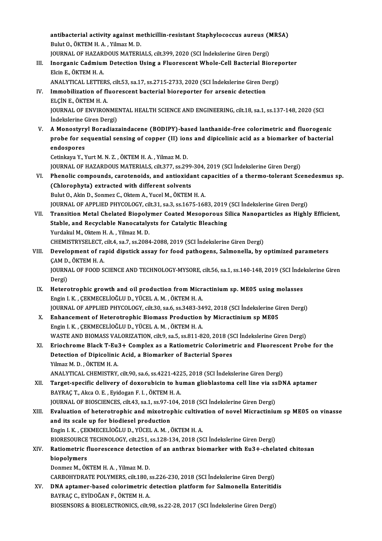antibacterial activity against methicillin-resistant Staphylococcus aureus (MRSA)<br>Pulut O. ÖKTEM H.A., Vilmaz M.D. antibacterial activity against mo<br>Bulut O., ÖKTEM H. A. , Yilmaz M. D.<br>JOUPMAL OE HAZAPDOUS MATERL antibacterial activity against methicillin-resistant Staphylococcus aureus (M<br>JOURNAL OF HAZARDOUS MATERIALS, cilt.399, 2020 (SCI İndekslerine Giren Dergi)<br>Jnarsanis Cadmium Datastian Heing a Eluarassant Whala Call Bastari Bulut O., ÖKTEM H. A. , Yilmaz M. D.<br>JOURNAL OF HAZARDOUS MATERIALS, cilt.399, 2020 (SCI İndekslerine Giren Dergi)<br>III. Inorganic Cadmium Detection Using a Fluorescent Whole-Cell Bacterial Bioreporter<br>Flein E. ÖKTEM H. A JOURNAL OF HAZARDOUS MATERIALS, cilt.399, 2020 (SCI İndekslerine Giren Dergi)<br>Inorganic Cadmium Detection Using a Fluorescent Whole-Cell Bacterial Biore<br>Elcin E., ÖKTEM H. A.<br>ANALYTICAL LETTERS, cilt.53, sa.17, ss.2715-273 Inorganic Cadmium Detection Using a Fluorescent Whole-Cell Bacterial Biorep<br>Elcin E., ÖKTEM H. A.<br>ANALYTICAL LETTERS, cilt.53, sa.17, ss.2715-2733, 2020 (SCI İndekslerine Giren Dergi)<br>Immebilization of fluorescent bacteria Elcin E., ÖKTEM H. A.<br>ANALYTICAL LETTERS, cilt.53, sa.17, ss.2715-2733, 2020 (SCI İndekslerine Giren De<br>IV. Immobilization of fluorescent bacterial bioreporter for arsenic detection<br>ELCIN E. ÖKTEM H. A ANALYTICAL LETTERS<br>Immobilization of fl<br>ELÇİN E., ÖKTEM H. A.<br>IQUPNAL OE ENVIPON Immobilization of fluorescent bacterial bioreporter for arsenic detection<br>ELÇİN E., ÖKTEM H. A.<br>JOURNAL OF ENVIRONMENTAL HEALTH SCIENCE AND ENGINEERING, cilt.18, sa.1, ss.137-148, 2020 (SCI<br>İndekslerine Ciren Dergi) ELÇİN E., ÖKTEM H. A.<br>JOURNAL OF ENVIRONME<br>İndekslerine Giren Dergi)<br>A Monosturul Boradiaz JOURNAL OF ENVIRONMENTAL HEALTH SCIENCE AND ENGINEERING, cilt.18, sa.1, ss.137-148, 2020 (SCI<br>Indekslerine Giren Dergi)<br>V. A Monostyryl Boradiazaindacene (BODIPY)-based lanthanide-free colorimetric and fluorogenic<br>nrobe fo İndekslerine Giren Dergi)<br>A Monostyryl Boradiazaindacene (BODIPY)-based lanthanide-free colorimetric and fluorogenic<br>probe for sequential sensing of copper (II) ions and dipicolinic acid as a biomarker of bacterial<br>andeene A Monostyry<br>probe for se<br>endospores<br>Cetinkava V N probe for sequential sensing of copper (II) ions and dipicolinic acid as a biomarker of bacterial<br>endospores<br>Cetinkaya Y., Yurt M. N. Z. , ÖKTEM H. A. , Yilmaz M. D. endospores<br>Cetinkaya Y., Yurt M. N. Z. , ÖKTEM H. A. , Yilmaz M. D.<br>JOURNAL OF HAZARDOUS MATERIALS, cilt.377, ss.299-304, 2019 (SCI İndekslerine Giren Dergi)<br>Phanelis semneunds, seneteneide, and antiexident senesities of a Cetinkaya Y., Yurt M. N. Z. , ÖKTEM H. A. , Yilmaz M. D.<br>JOURNAL OF HAZARDOUS MATERIALS, cilt.377, ss.299-304, 2019 (SCI İndekslerine Giren Dergi)<br>VI. Phenolic compounds, carotenoids, and antioxidant capacities of a thermo (CHROMAL OF HAZARDOUS MATERIALS, cilt.377, ss.299)<br>Phenolic compounds, carotenoids, and antioxida<br>(Chlorophyta) extracted with different solvents<br>Pulut Q. Akin D. Sonmer G. Oktom A. Vusel M. ÖKTEM Phenolic compounds, carotenoids, and antioxidant ca<br>(Chlorophyta) extracted with different solvents<br>Bulut O., Akin D., Sonmez C., Oktem A., Yucel M., ÖKTEM H. A.<br>JOUPNAL OF APPLIED PHYCOLOCY si<sup>1</sup>t 21, ss <sup>2</sup>, ss 1675, 169 (Chlorophyta) extracted with different solvents<br>Bulut O., Akin D., Sonmez C., Oktem A., Yucel M., ÖKTEM H. A.<br>JOURNAL OF APPLIED PHYCOLOGY, cilt.31, sa.3, ss.1675-1683, 2019 (SCI İndekslerine Giren Dergi)<br>Transition Metal Bulut O., Akin D., Sonmez C., Oktem A., Yucel M., ÖKTEM H. A.<br>JOURNAL OF APPLIED PHYCOLOGY, cilt.31, sa.3, ss.1675-1683, 2019 (SCI İndekslerine Giren Dergi)<br>VII. Transition Metal Chelated Biopolymer Coated Mesoporous S JOURNAL OF APPLIED PHYCOLOGY, cilt.31, sa.3, ss.1675-1683, 2019<br>Transition Metal Chelated Biopolymer Coated Mesoporous S<br>Stable, and Recyclable Nanocatalysts for Catalytic Bleaching<br>Yurdalay M. Oktom H.A., Vilmaz M.D. Transition Metal Chelated Biopoly<br>Stable, and Recyclable Nanocataly<br>Yurdakul M., Oktem H. A. , Yilmaz M. D.<br>CHEMISTRYSELECT sit 4, sa 7, sa 2094 Stable, and Recyclable Nanocatalysts for Catalytic Bleaching<br>Yurdakul M., Oktem H. A. , Yilmaz M. D.<br>CHEMISTRYSELECT, cilt.4, sa.7, ss.2084-2088, 2019 (SCI İndekslerine Giren Dergi) Yurdakul M., Oktem H. A. , Yilmaz M. D.<br>CHEMISTRYSELECT, cilt.4, sa.7, ss.2084-2088, 2019 (SCI İndekslerine Giren Dergi)<br>VIII. Development of rapid dipstick assay for food pathogens, Salmonella, by optimized parameters CHEMISTRYSELECT,<br>Development of ra<br>ÇAM D., ÖKTEM H. A.<br>JOUPMAL OF FOOD S Development of rapid dipstick assay for food pathogens, Salmonella, by optimized parameters<br>ÇAM D., ÖKTEM H. A.<br>JOURNAL OF FOOD SCIENCE AND TECHNOLOGY-MYSORE, cilt.56, sa.1, ss.140-148, 2019 (SCI İndekslerine Giren<br>Persi) CAM D<br>JOURN<br>Dergi)<br>Heters JOURNAL OF FOOD SCIENCE AND TECHNOLOGY-MYSORE, cilt.56, sa.1, ss.140-148, 2019 (SCI Indel<br>Dergi)<br>IX. Heterotrophic growth and oil production from Micractinium sp. ME05 using molasses<br>Facia LK, CEKMECELIOČIJI D. VÍCELA M. Ö Dergi)<br>IX. Heterotrophic growth and oil production from Micractinium sp. ME05 using molasses<br>Engin I. K., ÇEKMECELİOĞLUD., YÜCEL A. M., ÖKTEM H. A. Heterotrophic growth and oil production from Micractinium sp. ME05 using molasses<br>Engin I. K., ÇEKMECELİOĞLU D., YÜCEL A. M., ÖKTEM H. A.<br>JOURNAL OF APPLIED PHYCOLOGY, cilt.30, sa.6, ss.3483-3492, 2018 (SCI İndekslerine Gi Engin I. K., ÇEKMECELİOĞLU D., YÜCEL A. M., ÖKTEM H. A.<br>JOURNAL OF APPLIED PHYCOLOGY, cilt.30, sa.6, ss.3483-3492, 2018 (SCI İndekslerine Gi<br>X. Enhancement of Heterotrophic Biomass Production by Micractinium sp ME05<br>Engin X. Enhancement of Heterotrophic Biomass Production by Micractinium sp ME05<br>Engin I. K., ÇEKMECELİOĞLU D., YÜCEL A. M., ÖKTEM H. A. Enhancement of Heterotrophic Biomass Production by Micractinium sp ME05<br>Engin I. K., ÇEKMECELİOĞLU D., YÜCEL A. M., ÖKTEM H. A.<br>WASTE AND BIOMASS VALORIZATION, cilt.9, sa.5, ss.811-820, 2018 (SCI İndekslerine Giren Dergi)<br> Engin I. K., ÇEKMECELİOĞLU D., YÜCEL A. M., ÖKTEM H. A.<br>WASTE AND BIOMASS VALORIZATION, cilt.9, sa.5, ss.811-820, 2018 (SCI İndekslerine Giren Dergi)<br>XI. Eriochrome Black T-Eu3+ Complex as a Ratiometric Colorimetric and Fl WASTE AND BIOMASS VALORIZATION, cilt.9, sa.5, ss.811-820, 2018 (S<br>Eriochrome Black T-Eu3+ Complex as a Ratiometric Colorimet<br>Detection of Dipicolinic Acid, a Biomarker of Bacterial Spores<br>Vilmer M. D., ÖVTEM H.A. XI. Eriochrome Black T-Eu3+ Complex as a Ratiometric Colorimetric and Fluorescent Probe for the Detection of Dipicolinic Acid, a Biomarker of Bacterial Spores<br>Yilmaz M. D. , ÖKTEM H. A. ANALYTICAL CHEMISTRY, cilt.90, sa.6, ss.4221-4225,2018 (SCI İndekslerineGirenDergi) Yilmaz M. D. , ÖKTEM H. A.<br>ANALYTICAL CHEMISTRY, cilt.90, sa.6, ss.4221-4225, 2018 (SCI İndekslerine Giren Dergi)<br>XII. Target-specific delivery of doxorubicin to human glioblastoma cell line via ssDNA aptamer<br>BAYBAC T. ANALYTICAL CHEMISTRY, cilt.90, sa.6, ss.4221-422<br>Target-specific delivery of doxorubicin to hu<br>BAYRAÇ T., Akca O. E. , Eyidogan F. I. , ÖKTEM H. A.<br>JOUPNAL OF PIOSCIENCES .sit.43, ss.1, ss.97, 104 Target-specific delivery of doxorubicin to human glioblastoma cell line via ss<br>BAYRAÇ T., Akca O. E. , Eyidogan F. I. , ÖKTEM H. A.<br>JOURNAL OF BIOSCIENCES, cilt.43, sa.1, ss.97-104, 2018 (SCI İndekslerine Giren Dergi)<br>Fyal BAYRAÇ T., Akca O. E. , Eyidogan F. I. , ÖKTEM H. A.<br>JOURNAL OF BIOSCIENCES, cilt.43, sa.1, ss.97-104, 2018 (SCI İndekslerine Giren Dergi)<br>XIII. Braluation of heterotrophic and mixotrophic cultivation of novel Micractinium JOURNAL OF BIOSCIENCES, cilt.43, sa.1, ss.97-1<br>Evaluation of heterotrophic and mixotrop<br>and its scale up for biodiesel production<br>Engin LK, CEKMECELIOČLUD, VÜCELA M. 6 Evaluation of heterotrophic and mixotrophic cultiva<br>and its scale up for biodiesel production<br>Engin I. K. , ÇEKMECELİOĞLU D., YÜCEL A. M. , ÖKTEM H. A.<br>PIOPESQURCE TECUNOLOCY .silt 251 .ss 129 124 .2019 .SS and its scale up for biodiesel production<br>Engin I. K., ÇEKMECELİOĞLU D., YÜCEL A. M., ÖKTEM H. A.<br>BIORESOURCE TECHNOLOGY, cilt.251, ss.128-134, 2018 (SCI İndekslerine Giren Dergi)<br>Patiometris fluoressense detestion of an a Engin I. K., ÇEKMECELİOĞLU D., YÜCEL A. M., ÖKTEM H. A.<br>BIORESOURCE TECHNOLOGY, cilt.251, ss.128-134, 2018 (SCI İndekslerine Giren Dergi)<br>XIV. Ratiometric fluorescence detection of an anthrax biomarker with Eu3+-chelated c **BIORESOURCE<br>Ratiometric f<br>biopolymers**<br>Donmer M. Ök Donmez M., ÖKTEM H.A., Yilmaz M.D. biopolymers<br>Donmez M., ÖKTEM H. A. , Yilmaz M. D.<br>CARBOHYDRATE POLYMERS, cilt.180, ss.226-230, 2018 (SCI İndekslerine Giren Dergi)<br>DNA antamar based selerimetris detestion platform for Selmenella Enteritid Donmez M., ÖKTEM H. A. , Yilmaz M. D.<br>CARBOHYDRATE POLYMERS, cilt.180, ss.226-230, 2018 (SCI İndekslerine Giren Dergi)<br>XV. DNA aptamer-based colorimetric detection platform for Salmonella Enteritidis<br>RAYRAC G. EVIDOČAN E. CARBOHYDRATE POLYMERS, cilt.180, s<br>DNA aptamer-based colorimetric<br>BAYRAÇ C., EYİDOĞAN F., ÖKTEM H. A.<br>PIOSENSORS & BIOELECTRONICS, silt.6 XV. DNA aptamer-based colorimetric detection platform for Salmonella Enteritidis<br>BAYRAÇ C., EYİDOĞAN F., ÖKTEM H. A.<br>BIOSENSORS & BIOELECTRONICS, cilt.98, ss.22-28, 2017 (SCI İndekslerine Giren Dergi)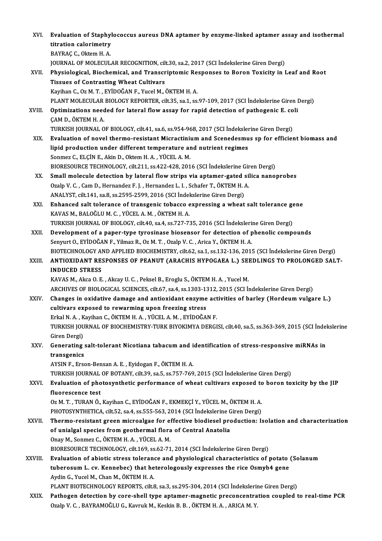| XVI.    | Evaluation of Staphylococcus aureus DNA aptamer by enzyme-linked aptamer assay and isothermal                                                                            |
|---------|--------------------------------------------------------------------------------------------------------------------------------------------------------------------------|
|         | titration calorimetry                                                                                                                                                    |
|         | BAYRAÇ C., Oktem H. A.                                                                                                                                                   |
|         | JOURNAL OF MOLECULAR RECOGNITION, cilt.30, sa.2, 2017 (SCI Indekslerine Giren Dergi)                                                                                     |
| XVII.   | Physiological, Biochemical, and Transcriptomic Responses to Boron Toxicity in Leaf and Root                                                                              |
|         | <b>Tissues of Contrasting Wheat Cultivars</b>                                                                                                                            |
|         | Kayihan C., Oz M. T., EYİDOĞAN F., Yucel M., ÖKTEM H. A.                                                                                                                 |
|         | PLANT MOLECULAR BIOLOGY REPORTER, cilt.35, sa.1, ss.97-109, 2017 (SCI İndekslerine Giren Dergi)                                                                          |
| XVIII.  | Optimizations needed for lateral flow assay for rapid detection of pathogenic E. coli                                                                                    |
|         | ÇAM D., ÖKTEM H. A.                                                                                                                                                      |
|         | TURKISH JOURNAL OF BIOLOGY, cilt.41, sa.6, ss.954-968, 2017 (SCI İndekslerine Giren Dergi)                                                                               |
| XIX.    | Evaluation of novel thermo-resistant Micractinium and Scenedesmus sp for efficient biomass and                                                                           |
|         | lipid production under different temperature and nutrient regimes                                                                                                        |
|         | Sonmez C., ELÇİN E., Akin D., Oktem H. A., YÜCEL A. M.                                                                                                                   |
| XX.     | BIORESOURCE TECHNOLOGY, cilt.211, ss.422-428, 2016 (SCI İndekslerine Giren Dergi)<br>Small molecule detection by lateral flow strips via aptamer-gated silica nanoprobes |
|         | Ozalp V. C., Cam D., Hernandez F. J., Hernandez L. I., Schafer T., ÖKTEM H. A.                                                                                           |
|         | ANALYST, cilt.141, sa.8, ss.2595-2599, 2016 (SCI Indekslerine Giren Dergi)                                                                                               |
| XXI.    | Enhanced salt tolerance of transgenic tobacco expressing a wheat salt tolerance gene                                                                                     |
|         | KAVAS M., BALOĞLU M. C., YÜCEL A. M., ÖKTEM H. A.                                                                                                                        |
|         | TURKISH JOURNAL OF BIOLOGY, cilt.40, sa.4, ss.727-735, 2016 (SCI Indekslerine Giren Dergi)                                                                               |
| XXII.   | Development of a paper-type tyrosinase biosensor for detection of phenolic compounds                                                                                     |
|         | Senyurt O., EYİDOĞAN F., Yilmaz R., Oz M. T., Ozalp V. C., Arica Y., ÖKTEM H. A.                                                                                         |
|         | BIOTECHNOLOGY AND APPLIED BIOCHEMISTRY, cilt.62, sa.1, ss.132-136, 2015 (SCI İndekslerine Giren Dergi)                                                                   |
| XXIII.  | ANTIOXIDANT RESPONSES OF PEANUT (ARACHIS HYPOGAEA L.) SEEDLINGS TO PROLONGED SALT-                                                                                       |
|         | <b>INDUCED STRESS</b>                                                                                                                                                    |
|         | KAVAS M., Akca O. E., Akcay U. C., Peksel B., Eroglu S., ÖKTEM H. A., Yucel M.                                                                                           |
|         | ARCHIVES OF BIOLOGICAL SCIENCES, cilt.67, sa.4, ss.1303-1312, 2015 (SCI İndekslerine Giren Dergi)                                                                        |
| XXIV.   | Changes in oxidative damage and antioxidant enzyme activities of barley (Hordeum vulgare L.)                                                                             |
|         | cultivars exposed to rewarming upon freezing stress                                                                                                                      |
|         | Erkal N. A., Kayihan C., ÖKTEM H. A., YÜCEL A. M., EYİDOĞAN F.                                                                                                           |
|         | TURKISH JOURNAL OF BIOCHEMISTRY-TURK BIYOKIMYA DERGISI, cilt.40, sa.5, ss.363-369, 2015 (SCI İndekslerine                                                                |
|         | Giren Dergi)                                                                                                                                                             |
| XXV.    | Generating salt-tolerant Nicotiana tabacum and identification of stress-responsive miRNAs in<br>transgenics                                                              |
|         | AYSIN F., Erson-Bensan A. E., Eyidogan F., ÖKTEM H. A.                                                                                                                   |
|         | TURKISH JOURNAL OF BOTANY, cilt.39, sa.5, ss.757-769, 2015 (SCI İndekslerine Giren Dergi)                                                                                |
| XXVI.   | Evaluation of photosynthetic performance of wheat cultivars exposed to boron toxicity by the JIP                                                                         |
|         | fluorescence test                                                                                                                                                        |
|         | Oz M. T., TURAN Ö., Kayihan C., EYİDOĞAN F., EKMEKÇİ Y., YÜCEL M., ÖKTEM H. A.                                                                                           |
|         | PHOTOSYNTHETICA, cilt.52, sa.4, ss.555-563, 2014 (SCI İndekslerine Giren Dergi)                                                                                          |
| XXVII.  | Thermo-resistant green microalgae for effective biodiesel production: Isolation and characterization                                                                     |
|         | of unialgal species from geothermal flora of Central Anatolia                                                                                                            |
|         | Onay M., Sonmez C., ÖKTEM H. A., YÜCEL A. M.                                                                                                                             |
|         | BIORESOURCE TECHNOLOGY, cilt 169, ss 62-71, 2014 (SCI Indekslerine Giren Dergi)                                                                                          |
| XXVIII. | Evaluation of abiotic stress tolerance and physiological characteristics of potato (Solanum                                                                              |
|         | tuberosum L. cv. Kennebec) that heterologously expresses the rice Osmyb4 gene                                                                                            |
|         | Aydin G., Yucel M., Chan M., ÖKTEM H. A.                                                                                                                                 |
|         | PLANT BIOTECHNOLOGY REPORTS, cilt.8, sa.3, ss.295-304, 2014 (SCI İndekslerine Giren Dergi)                                                                               |
| XXIX.   | Pathogen detection by core-shell type aptamer-magnetic preconcentration coupled to real-time PCR                                                                         |
|         | Ozalp V. C., BAYRAMOĞLU G., Kavruk M., Keskin B. B., ÖKTEM H. A., ARICA M. Y.                                                                                            |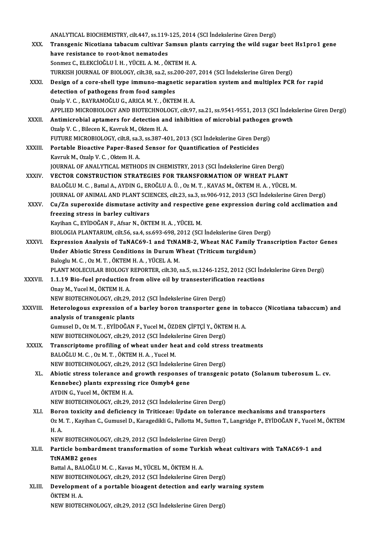|               | ANALYTICAL BIOCHEMISTRY, cilt.447, ss.119-125, 2014 (SCI Indekslerine Giren Dergi)                                   |
|---------------|----------------------------------------------------------------------------------------------------------------------|
| XXX.          | Transgenic Nicotiana tabacum cultivar Samsun plants carrying the wild sugar beet Hs1pro1 gene                        |
|               | have resistance to root-knot nematodes                                                                               |
|               | Sonmez C., ELEKCIOĞLU İ. H., YÜCEL A. M., ÖKTEM H. A.                                                                |
|               | TURKISH JOURNAL OF BIOLOGY, cilt.38, sa.2, ss.200-207, 2014 (SCI Indekslerine Giren Dergi)                           |
| XXXI.         | Design of a core-shell type immuno-magnetic separation system and multiplex PCR for rapid                            |
|               | detection of pathogens from food samples                                                                             |
|               | Ozalp V. C., BAYRAMOĞLU G., ARICA M. Y., ÖKTEM H. A.                                                                 |
|               | APPLIED MICROBIOLOGY AND BIOTECHNOLOGY, cilt.97, sa.21, ss.9541-9551, 2013 (SCI İndekslerine Giren Dergi)            |
| XXXII.        | Antimicrobial aptamers for detection and inhibition of microbial pathogen growth                                     |
|               | Ozalp V. C., Bilecen K., Kavruk M., Oktem H. A.                                                                      |
|               | FUTURE MICROBIOLOGY, cilt.8, sa.3, ss.387-401, 2013 (SCI Indekslerine Giren Dergi)                                   |
| <b>XXXIII</b> | Portable Bioactive Paper-Based Sensor for Quantification of Pesticides                                               |
|               | Kavruk M., Ozalp V. C., Oktem H. A.                                                                                  |
|               | JOURNAL OF ANALYTICAL METHODS IN CHEMISTRY, 2013 (SCI Indekslerine Giren Dergi)                                      |
| <b>XXXIV</b>  | VECTOR CONSTRUCTION STRATEGIES FOR TRANSFORMATION OF WHEAT PLANT                                                     |
|               | BALOĞLU M. C., Battal A., AYDIN G., EROĞLU A. Ü., Oz M. T., KAVAS M., ÖKTEM H. A., YÜCEL M.                          |
|               | JOURNAL OF ANIMAL AND PLANT SCIENCES, cilt.23, sa.3, ss.906-912, 2013 (SCI İndekslerine Giren Dergi)                 |
| XXXV.         | Cu/Zn superoxide dismutase activity and respective gene expression during cold acclimation and                       |
|               | freezing stress in barley cultivars                                                                                  |
|               | Kayihan C., EYİDOĞAN F., Afsar N., ÖKTEM H. A., YÜCEL M.                                                             |
|               | BIOLOGIA PLANTARUM, cilt.56, sa.4, ss.693-698, 2012 (SCI İndekslerine Giren Dergi)                                   |
| XXXVI.        | Expression Analysis of TaNAC69-1 and TtNAMB-2, Wheat NAC Family Transcription Factor Genes                           |
|               | Under Abiotic Stress Conditions in Durum Wheat (Triticum turgidum)                                                   |
|               | Baloglu M. C., Oz M. T., ÖKTEM H. A., YÜCEL A. M.                                                                    |
|               | PLANT MOLECULAR BIOLOGY REPORTER, cilt.30, sa.5, ss.1246-1252, 2012 (SCI İndekslerine Giren Dergi)                   |
| XXXVII.       | 1.1.19 Bio-fuel production from olive oil by transesterification reactions                                           |
|               | Onay M, Yucel M, ÖKTEM H.A.                                                                                          |
|               | NEW BIOTECHNOLOGY, cilt.29, 2012 (SCI Indekslerine Giren Dergi)                                                      |
| XXXVIII.      | Heterologous expression of a barley boron transporter gene in tobacco (Nicotiana tabaccum) and                       |
|               | analysis of transgenic plants                                                                                        |
|               | Gumusel D., Oz M. T., EYİDOĞAN F., Yucel M., ÖZDEN ÇİFTÇİ Y., ÖKTEM H. A.                                            |
|               | NEW BIOTECHNOLOGY, cilt.29, 2012 (SCI İndekslerine Giren Dergi)                                                      |
| <b>XXXIX</b>  | Transcriptome profiling of wheat under heat and cold stress treatments                                               |
|               | BALOĞLU M. C., Oz M. T., ÖKTEM H. A., Yucel M.<br>NEW BIOTECHNOLOGY, cilt.29, 2012 (SCI İndekslerine Giren Dergi)    |
| XL.           | Abiotic stress tolerance and growth responses of transgenic potato (Solanum tuberosum L. cv.                         |
|               | Kennebec) plants expressing rice Osmyb4 gene                                                                         |
|               | AYDIN G., Yucel M., ÖKTEM H. A.                                                                                      |
|               | NEW BIOTECHNOLOGY, cilt.29, 2012 (SCI İndekslerine Giren Dergi)                                                      |
| XLI.          | Boron toxicity and deficiency in Triticeae: Update on tolerance mechanisms and transporters                          |
|               | Oz M. T., Kayihan C., Gumusel D., Karagedikli G., Pallotta M., Sutton T., Langridge P., EYİDOĞAN F., Yucel M., ÖKTEM |
|               | H A                                                                                                                  |
|               | NEW BIOTECHNOLOGY, cilt.29, 2012 (SCI İndekslerine Giren Dergi)                                                      |
| XLII.         | Particle bombardment transformation of some Turkish wheat cultivars with TaNAC69-1 and                               |
|               | <b>TtNAMB2</b> genes                                                                                                 |
|               | Battal A., BALOĞLU M. C., Kavas M., YÜCEL M., ÖKTEM H. A.                                                            |
|               | NEW BIOTECHNOLOGY, cilt.29, 2012 (SCI İndekslerine Giren Dergi)                                                      |
| XLIII.        | Development of a portable bioagent detection and early warning system                                                |
|               | ÖKTEM H A                                                                                                            |
|               | NEW BIOTECHNOLOGY, cilt.29, 2012 (SCI İndekslerine Giren Dergi)                                                      |
|               |                                                                                                                      |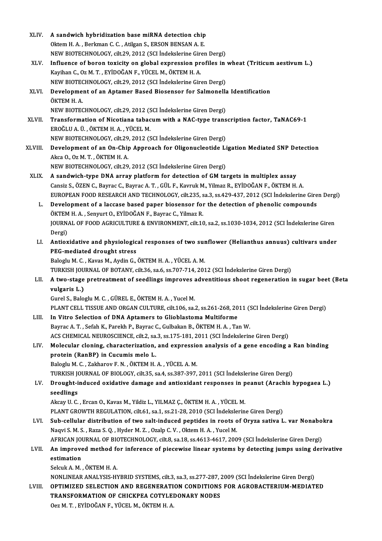| XLIV.       | A sandwich hybridization base miRNA detection chip                                                     |
|-------------|--------------------------------------------------------------------------------------------------------|
|             | Oktem H. A., Berkman C. C., Atilgan S., ERSON BENSAN A. E.                                             |
|             | NEW BIOTECHNOLOGY, cilt.29, 2012 (SCI İndekslerine Giren Dergi)                                        |
| XLV.        | Influence of boron toxicity on global expression profiles in wheat (Triticum aestivum L.)              |
|             | Kayihan C., Oz M. T., EYİDOĞAN F., YÜCEL M., ÖKTEM H. A.                                               |
|             | NEW BIOTECHNOLOGY, cilt.29, 2012 (SCI İndekslerine Giren Dergi)                                        |
| XLVI.       | Development of an Aptamer Based Biosensor for Salmonella Identification                                |
|             | ÖKTEM H.A.                                                                                             |
|             | NEW BIOTECHNOLOGY, cilt.29, 2012 (SCI İndekslerine Giren Dergi)                                        |
| XLVII.      | Transformation of Nicotiana tabacum with a NAC-type transcription factor, TaNAC69-1                    |
|             | EROĞLU A. Ü., ÖKTEM H. A., YÜCEL M.                                                                    |
|             | NEW BIOTECHNOLOGY, cilt.29, 2012 (SCI İndekslerine Giren Dergi)                                        |
| XLVIII.     | Development of an On-Chip Approach for Oligonucleotide Ligation Mediated SNP Detection                 |
|             | Akca O, Oz M T, ÖKTEM H A                                                                              |
|             | NEW BIOTECHNOLOGY, cilt.29, 2012 (SCI İndekslerine Giren Dergi)                                        |
| <b>XLIX</b> | A sandwich-type DNA array platform for detection of GM targets in multiplex assay                      |
|             | Cansiz S., ÖZEN C., Bayrac C., Bayrac A. T., GÜL F., Kavruk M., Yilmaz R., EYİDOĞAN F., ÖKTEM H. A.    |
|             | EUROPEAN FOOD RESEARCH AND TECHNOLOGY, cilt.235, sa.3, ss.429-437, 2012 (SCI İndekslerine Giren Dergi) |
| L.          | Development of a laccase based paper biosensor for the detection of phenolic compounds                 |
|             | ÖKTEM H. A., Senyurt O., EYİDOĞAN F., Bayrac C., Yilmaz R.                                             |
|             | JOURNAL OF FOOD AGRICULTURE & ENVIRONMENT, cilt.10, sa.2, ss.1030-1034, 2012 (SCI Indekslerine Giren   |
|             | Dergi)                                                                                                 |
| LI.         | Antioxidative and physiological responses of two sunflower (Helianthus annuus) cultivars under         |
|             | PEG-mediated drought stress                                                                            |
|             | Baloglu M. C., Kavas M., Aydin G., ÖKTEM H. A., YÜCEL A. M.                                            |
|             | TURKISH JOURNAL OF BOTANY, cilt.36, sa.6, ss.707-714, 2012 (SCI Indekslerine Giren Dergi)              |
| LII.        | A two-stage pretreatment of seedlings improves adventitious shoot regeneration in sugar beet (Beta     |
|             | vulgaris L.)                                                                                           |
|             | Gurel S., Baloglu M. C., GÜREL E., ÖKTEM H. A., Yucel M.                                               |
|             | PLANT CELL TISSUE AND ORGAN CULTURE, cilt.106, sa.2, ss.261-268, 2011 (SCI İndekslerine Giren Dergi)   |
| LIII.       | In Vitro Selection of DNA Aptamers to Glioblastoma Multiforme                                          |
|             | Bayrac A. T., Sefah K., Parekh P., Bayrac C., Gulbakan B., ÖKTEM H. A., Tan W.                         |
|             | ACS CHEMICAL NEUROSCIENCE, cilt.2, sa.3, ss.175-181, 2011 (SCI Indekslerine Giren Dergi)               |
| LIV.        | Molecular cloning, characterization, and expression analysis of a gene encoding a Ran binding          |
|             | protein (RanBP) in Cucumis melo L.                                                                     |
|             | Baloglu M. C., Zakharov F. N., ÖKTEM H. A., YÜCEL A. M.                                                |
|             | TURKISH JOURNAL OF BIOLOGY, cilt.35, sa.4, ss.387-397, 2011 (SCI Indekslerine Giren Dergi)             |
| LV.         | Drought-induced oxidative damage and antioxidant responses in peanut (Arachis hypogaea L.)             |
|             | seedlings                                                                                              |
|             | Akcay U. C., Ercan O., Kavas M., Yildiz L., YILMAZ Ç., ÖKTEM H. A., YÜCEL M.                           |
|             | PLANT GROWTH REGULATION, cilt.61, sa.1, ss.21-28, 2010 (SCI İndekslerine Giren Dergi)                  |
| LVI.        | Sub-cellular distribution of two salt-induced peptides in roots of Oryza sativa L. var Nonabokra       |
|             | Naqvi S. M. S., Raza S. Q., Hyder M. Z., Ozalp C. V., Oktem H. A., Yucel M.                            |
|             | AFRICAN JOURNAL OF BIOTECHNOLOGY, cilt.8, sa.18, ss.4613-4617, 2009 (SCI İndekslerine Giren Dergi)     |
| LVII.       | An improved method for inference of piecewise linear systems by detecting jumps using derivative       |
|             | estimation                                                                                             |
|             | Selcuk A M , ÖKTEM H A                                                                                 |
|             | NONLINEAR ANALYSIS-HYBRID SYSTEMS, cilt.3, sa.3, ss.277-287, 2009 (SCI İndekslerine Giren Dergi)       |
| LVIII.      | OPTIMIZED SELECTION AND REGENERATION CONDITIONS FOR AGROBACTERIUM-MEDIATED                             |
|             | TRANSFORMATION OF CHICKPEA COTYLEDONARY NODES<br>Oez M. T., EYİDOĞAN F., YÜCEL M., ÖKTEM H. A.         |
|             |                                                                                                        |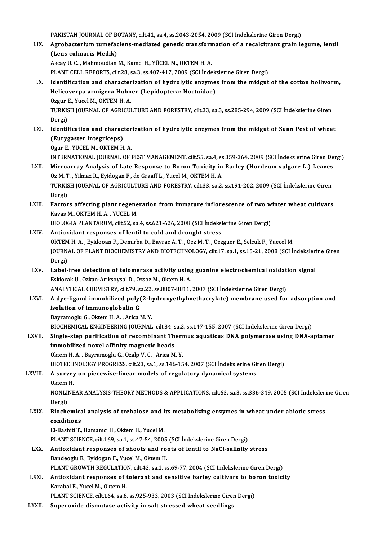PAKISTAN JOURNAL OF BOTANY, cilt.41, sa.4, ss.2043-2054, 2009 (SCI İndekslerine Giren Dergi)<br>Agrebasterium tumafasians, mediated genetis transformation of a resalsitrant grain le

PAKISTAN JOURNAL OF BOTANY, cilt.41, sa.4, ss.2043-2054, 2009 (SCI İndekslerine Giren Dergi)<br>LIX. Agrobacterium tumefaciens-mediated genetic transformation of a recalcitrant grain legume, lentil PAKISTAN JOURNAL OF BOTTAN<br>Agrobacterium tumeface<br>(Lens culinaris Medik) Agrobacterium tumefaciens-mediated genetic transform<br>(Lens culinaris Medik)<br>Akcay U. C. , Mahmoudian M., Kamci H., YÜCEL M., ÖKTEM H. A.<br>PLANT CELL REPOPTS, sik 29, ss 3, ss 407, 417, 2009 (SSLInde (Lens culinaris Medik)<br>Akcay U. C. , Mahmoudian M., Kamci H., YÜCEL M., ÖKTEM H. A.<br>PLANT CELL REPORTS, cilt.28, sa.3, ss.407-417, 2009 (SCI İndekslerine Giren Dergi)<br>Identification and characterization of hydrolytis engym

- Akcay U. C. , Mahmoudian M., Kamci H., YÜCEL M., ÖKTEM H. A.<br>PLANT CELL REPORTS, cilt.28, sa.3, ss.407-417, 2009 (SCI Indekslerine Giren Dergi)<br>LX. Identification and characterization of hydrolytic enzymes from the midgut PLANT CELL REPORTS, cilt.28, sa.3, ss.407-417, 2009 (SCI İndek<br>Identification and characterization of hydrolytic enzyme<br>Helicoverpa armigera Hubner (Lepidoptera: Noctuidae)<br>Ozzur E. Yucel M. ÖKTEM H.A Helicoverpa armigera Hubner (Lepidoptera: Noctuidae)<br>Ozgur E., Yucel M., ÖKTEM H. A. Helicoverpa armigera Hubner (Lepidoptera: Noctuidae)<br>Ozgur E., Yucel M., ÖKTEM H. A.<br>TURKISH JOURNAL OF AGRICULTURE AND FORESTRY, cilt.33, sa.3, ss.285-294, 2009 (SCI İndekslerine Giren<br>Persi) Ozgur I<br>TURKIS<br>Dergi)<br>Identit TURKISH JOURNAL OF AGRICULTURE AND FORESTRY, cilt.33, sa.3, ss.285-294, 2009 (SCI İndekslerine Giren<br>Dergi)<br>LXI. Identification and characterization of hydrolytic enzymes from the midgut of Sunn Pest of wheat<br>(Eurysoster i
- Dergi)<br>Identification and charac<br>(Eurygaster integriceps)<br>Ogur E. VÜCEL M. ÖKTEM H **Identification and character<br>(Eurygaster integriceps)<br>Ogur E., YÜCEL M., ÖKTEM H. A.<br>INTERNATIONAL JOURNAL OF I**

(Eurygaster integriceps)<br>Ogur E., YÜCEL M., ÖKTEM H. A.<br>INTERNATIONAL JOURNAL OF PEST MANAGEMENT, cilt.55, sa.4, ss.359-364, 2009 (SCI İndekslerine Giren Dergi)<br>Misroernau Analysis of Late Besponse te Boron Tovisity in Bor Ogur E., YÜCEL M., ÖKTEM H. A.<br>INTERNATIONAL JOURNAL OF PEST MANAGEMENT, cilt.55, sa.4, ss.359-364, 2009 (SCI İndekslerine Giren De<br>LXII. Microarray Analysis of Late Response to Boron Toxicity in Barley (Hordeum vulgare L. INTERNATIONAL JOURNAL OF PEST MANAGEMENT, cilt.55, sa.4, ss<br>Microarray Analysis of Late Response to Boron Toxicity in<br>Oz M. T. , Yilmaz R., Eyidogan F., de Graaff L., Yucel M., ÖKTEM H. A.<br>TURKISH JOURNAL OF ACRICULTURE AN

- Microarray Analysis of Late Response to Boron Toxicity in Barley (Hordeum vulgare L.) Leaves<br>Oz M. T., Yilmaz R., Eyidogan F., de Graaff L., Yucel M., ÖKTEM H. A.<br>TURKISH JOURNAL OF AGRICULTURE AND FORESTRY, cilt.33, sa.2, Oz M. T<br>TURKIS<br>Dergi)<br>Eastar TURKISH JOURNAL OF AGRICULTURE AND FORESTRY, cilt.33, sa.2, ss.191-202, 2009 (SCI Indekslerine Giren<br>Dergi)<br>LXIII. Factors affecting plant regeneration from immature inflorescence of two winter wheat cultivars<br>Kayaa M. ÖKT
- Dergi)<br>Factors affecting plant regene<br>Kavas M., ÖKTEM H. A. , YÜCEL M.<br>PIOLOCLA PLANTARUM, silt 52, 33 Factors affecting plant regeneration from immature inflorescence of two w<br>Kavas M., ÖKTEM H. A. , YÜCEL M.<br>BIOLOGIA PLANTARUM, cilt.52, sa.4, ss.621-626, 2008 (SCI İndekslerine Giren Dergi)<br>Antioxidant responses of lantil Kavas M., ÖKTEM H. A. , YÜCEL M.<br>BIOLOGIA PLANTARUM, cilt.52, sa.4, ss.621-626, 2008 (SCI Indekslerine Giren Dergi)<br>LXIV. Antioxidant responses of lentil to cold and drought stress

- BIOLOGIA PLANTARUM, cilt.52, sa.4, ss.621-626, 2008 (SCI İndekslerine Giren Dergi)<br>Antioxidant responses of lentil to cold and drought stress<br>ÖKTEM H. A. , Eyidooan F., Demirba D., Bayrac A.T. , Oez M. T. , Oezguer E., Sel JOURNAL OF PLANT BIOCHEMISTRY AND BIOTECHNOLOGY, cilt.17, sa.1, ss.15-21, 2008 (SCI İndekslerine Giren<br>Dergi) ÖKTEM<br>JOURN<br>Dergi)<br>Label JOURNAL OF PLANT BIOCHEMISTRY AND BIOTECHNOLOGY, cilt.17, sa.1, ss.15-21, 2008 (SCI Indeksler.<br>Dergi)<br>LXV. Label-free detection of telomerase activity using guanine electrochemical oxidation signal<br>Eskiesek U. Orkan Arikse
- Dergi)<br>Label-free detection of telomerase activity using<br>Eskiocak U., Ozkan-Ariksoysal D., Ozsoz M., Oktem H. A.<br>ANALYTICAL CHEMISTRY, cilt 79, 22, 23, 89,99,7, 9911 Label-free detection of telomerase activity using guanine electrochemical oxidat<br>Eskiocak U., Ozkan-Ariksoysal D., Ozsoz M., Oktem H. A.<br>ANALYTICAL CHEMISTRY, cilt.79, sa.22, ss.8807-8811, 2007 (SCI İndekslerine Giren Derg Eskiocak U., Ozkan-Ariksoysal D., Ozsoz M., Oktem H. A.<br>ANALYTICAL CHEMISTRY, cilt.79, sa.22, ss.8807-8811, 2007 (SCI İndekslerine Giren Dergi)<br>LXVI. A dye-ligand immobilized poly(2-hydroxyethylmethacrylate) membrane used
- ANALYTICAL CHEMISTRY, cilt.79, s.<br>A dye-ligand immobilized poly<br>isolation of immunoglobulin G<br>Bayramaghy C. Oltam H.A., Arica l A dye-ligand immobilized poly(2-h)<br>isolation of immunoglobulin G<br>Bayramoglu G., Oktem H.A. , Arica M.Y.<br>PIOCHEMICAL ENGINEERING JOUPNAL isolation of immunoglobulin G<br>Bayramoglu G., Oktem H. A. , Arica M. Y.<br>BIOCHEMICAL ENGINEERING JOURNAL, cilt.34, sa.2, ss.147-155, 2007 (SCI İndekslerine Giren Dergi)<br>Single eten purification of necembinant Thermus aguatic

## Bayramoglu G., Oktem H. A. , Arica M. Y.<br>BIOCHEMICAL ENGINEERING JOURNAL, cilt.34, sa.2, ss.147-155, 2007 (SCI İndekslerine Giren Dergi)<br>LXVII. Single-step purification of recombinant Thermus aquaticus DNA polymerase using BIOCHEMICAL ENGINEERING JOURNAL, cilt.34, s<br>Single-step purification of recombinant Th<br>immobilized novel affinity magnetic beads<br>Oltem H.A., Baymamaghy G. Oraln V.C., Arise M Single-step purification of recombinant Thermus aquaticus DNA polymerase using DNA-aptamer immobilized novel affinity magnetic beads<br>Oktem H. A. , Bayramoglu G., Ozalp V. C. , Arica M. Y. BIOTECHNOLOGYPROGRESS, cilt.23, sa.1, ss.146-154,2007 (SCI İndekslerineGirenDergi)

## LXVIII. A survey on piecewise-linear models of regulatory dynamical systems BIOTECH<br>A survey<br>Oktem H.<br>NONI INE

NONLINEAR ANALYSIS-THEORY METHODS & APPLICATIONS, cilt.63, sa.3, ss.336-349, 2005 (SCI İndekslerine Giren<br>Dergi) Oktem<br>NONLII<br>Dergi)<br>Pioshe NONLINEAR ANALYSIS-THEORY METHODS & APPLICATIONS, cilt.63, sa.3, ss.336-349, 2005 (SCI İndeksleri<br>Dergi)<br>LXIX. Biochemical analysis of trehalose and its metabolizing enzymes in wheat under abiotic stress

## Dergi)<br>Biochemica<br>conditions<br>El Pechiti T Biochemical analysis of trehalose and i<br>conditions<br>El-Bashiti T., Hamamci H., Oktem H., Yucel M.<br>BLANT SCIENCE, silt 160, sp.1, sp.47, 54, 2001 conditions<br>El-Bashiti T., Hamamci H., Oktem H., Yucel M.<br>PLANT SCIENCE, cilt.169, sa.1, ss.47-54, 2005 (SCI İndekslerine Giren Dergi)<br>Antioxident responses of shosts and reets of lentil te NeCl solinity

- El-Bashiti T., Hamamci H., Oktem H., Yucel M.<br>PLANT SCIENCE, cilt.169, sa.1, ss.47-54, 2005 (SCI İndekslerine Giren Dergi)<br>LXX. Antioxidant responses of shoots and roots of lentil to NaCl-salinity stress<br>Bandeoglu E., Eyid PLANT SCIENCE, cilt.169, sa.1, ss.47-54, 2005<br>Antioxidant responses of shoots and root<br>Bandeoglu E., Eyidogan F., Yucel M., Oktem H.<br>BLANT CROWTH RECULATION, silt.42, se.1, st Antioxidant responses of shoots and roots of lentil to NaCl-salinity stress<br>Bandeoglu E., Eyidogan F., Yucel M., Oktem H.<br>PLANT GROWTH REGULATION, cilt.42, sa.1, ss.69-77, 2004 (SCI İndekslerine Giren Dergi)<br>Antioxidant re
- Bandeoglu E., Eyidogan F., Yucel M., Oktem H.<br>PLANT GROWTH REGULATION, cilt.42, sa.1, ss.69-77, 2004 (SCI indekslerine Giren Dergi)<br>LXXI. Antioxidant responses of tolerant and sensitive barley cultivars to boron toxicity<br>K PLANT GROWTH REGULATIO<br>**Antioxidant responses of t**<br>Karabal E., Yucel M., Oktem H.<br>BLANT SCIENCE sit 164, sa 6 Antioxidant responses of tolerant and sensitive barley cultivars to bo<br>Karabal E., Yucel M., Oktem H.<br>PLANT SCIENCE, cilt.164, sa.6, ss.925-933, 2003 (SCI İndekslerine Giren Dergi)<br>Sunanavide diamutase astivity in salt str Karabal E., Yucel M., Oktem H.<br>PLANT SCIENCE, cilt.164, sa.6, ss.925-933, 2003 (SCI İndekslerine Giren Dergi)<br>LXXII. Superoxide dismutase activity in salt stressed wheat seedlings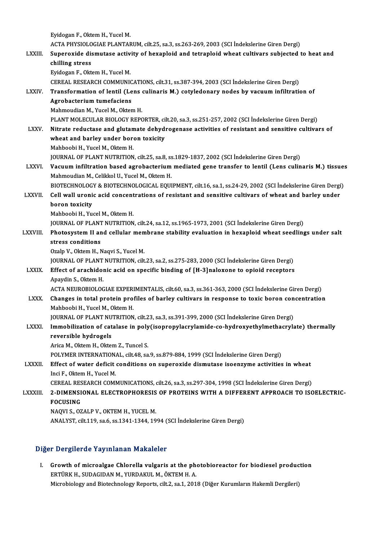EyidoganF.,OktemH.,YucelM. Eyidogan F., Oktem H., Yucel M.<br>ACTA PHYSIOLOGIAE PLANTARUM, cilt.25, sa.3, ss.263-269, 2003 (SCI İndekslerine Giren Dergi)<br>Sunanavide diamutase astivity of boyanlaid and tatranlaid wheat sultivare subjected t LXXIII. Superoxide dismutase activity of hexaploid and tetraploid wheat cultivars subjected to heat and chilling stress ACTA PHYSIOLO<br>Superoxide dis<br>chilling stress<br>Exidesen E. Olt Eyidogan F., Oktem H., Yucel M. CEREAL RESEARCH COMMUNICATIONS, cilt.31, ss.387-394, 2003 (SCI İndekslerine Giren Dergi) Eyidogan F., Oktem H., Yucel M.<br>CEREAL RESEARCH COMMUNICATIONS, cilt.31, ss.387-394, 2003 (SCI İndekslerine Giren Dergi)<br>LXXIV. Transformation of lentil (Lens culinaris M.) cotyledonary nodes by vacuum infiltration of CEREAL RESEARCH COMMUNIC<br>Transformation of lentil (Le<br>Agrobacterium tumefaciens<br>Mehmoudian M. Yusel M. Olter Transformation of lentil (Lens<br>Agrobacterium tumefaciens<br>Mahmoudian M., Yucel M., Oktem H.<br>PLANT MOLECULAR PIOLOCY REPO Agrobacterium tumefaciens<br>Mahmoudian M., Yucel M., Oktem H.<br>PLANT MOLECULAR BIOLOGY REPORTER, cilt.20, sa.3, ss.251-257, 2002 (SCI İndekslerine Giren Dergi) Mahmoudian M., Yucel M., Oktem H.<br>PLANT MOLECULAR BIOLOGY REPORTER, cilt.20, sa.3, ss.251-257, 2002 (SCI İndekslerine Giren Dergi)<br>LXXV. Nitrate reductase and glutamate dehydrogenase activities of resistant and sensiti PLANT MOLECULAR BIOLOGY REPORTER, cin<br>itrate reductase and glutamate dehydi<br>wheat and barley under boron toxicity<br>Makhaabi H. Yugal M. Oktam H Nitrate reductase and glutan<br>wheat and barley under bore<br>Mahboobi H., Yucel M., Oktem H.<br>JOUPNAL OF PLANT NUTERITION wheat and barley under boron toxicity<br>Mahboobi H., Yucel M., Oktem H.<br>JOURNAL OF PLANT NUTRITION, cilt.25, sa.8, ss.1829-1837, 2002 (SCI İndekslerine Giren Dergi)<br>Voquum infiltration based agrebastarium mediated gane trans Mahboobi H., Yucel M., Oktem H.<br>JOURNAL OF PLANT NUTRITION, cilt.25, sa.8, ss.1829-1837, 2002 (SCI İndekslerine Giren Dergi)<br>LXXVI. Vacuum infiltration based agrobacterium mediated gene transfer to lentil (Lens culinar JOURNAL OF PLANT NUTRITION, cilt.25, sa.8, ss<br>Vacuum infiltration based agrobacterium<br>Mahmoudian M., Celikkol U., Yucel M., Oktem H.<br>PIOTECHNOLOCY & PIOTECHNOLOCICAL FOUL Vacuum infiltration based agrobacterium mediated gene transfer to lentil (Lens culinaris M.) tissue:<br>Mahmoudian M., Celikkol U., Yucel M., Oktem H.<br>BIOTECHNOLOGY & BIOTECHNOLOGICAL EQUIPMENT, cilt.16, sa.1, ss.24-29, 2002 Mahmoudian M., Celikkol U., Yucel M., Oktem H.<br>BIOTECHNOLOGY & BIOTECHNOLOGICAL EQUIPMENT, cilt.16, sa.1, ss.24-29, 2002 (SCI İndekslerine Giren Dergi<br>LXXVII. Cell wall uronic acid concentrations of resistant and sensi BIOTECHNOLOGY & BIOTECHNOLOGICAL EQUIPMENT, cilt.16, sa.1, ss.24-29, 2002 (SCI Indekslerine Giren Dergi)<br>Cell wall uronic acid concentrations of resistant and sensitive cultivars of wheat and barley under<br>boron toxicity<br>Ma Cell wall uronic acid concent<br>boron toxicity<br>Mahboobi H., Yucel M., Oktem H.<br>JOUPNAL OF PLANT NUTPUTION boron toxicity<br>Mahboobi H., Yucel M., Oktem H.<br>JOURNAL OF PLANT NUTRITION, cilt.24, sa.12, ss.1965-1973, 2001 (SCI İndekslerine Giren Dergi)<br>Photosystem II and sellular membrane stability evaluation in bexanleid yıbest see Mahboobi H., Yucel M., Oktem H.<br>JOURNAL OF PLANT NUTRITION, cilt.24, sa.12, ss.1965-1973, 2001 (SCI İndekslerine Giren Dergi)<br>LXXVIII. Photosystem II and cellular membrane stability evaluation in hexaploid wheat seedli **JOURNAL OF PLANT**<br>Photosystem II an<br>stress conditions<br>Orain V. Oktom H. N Photosystem II and cellular mem<br>stress conditions<br>Ozalp V., Oktem H., Naqvi S., Yucel M.<br>JOUPNAL OF PLANT NUTPUTION. cilt stress conditions<br>Ozalp V., Oktem H., Naqvi S., Yucel M.<br>JOURNAL OF PLANT NUTRITION, cilt.23, sa.2, ss.275-283, 2000 (SCI İndekslerine Giren Dergi)<br>Effect of arashidanis asid an spesifis binding of [H\_3]nalayana ta aniaid Ozalp V., Oktem H., Naqvi S., Yucel M.<br>JOURNAL OF PLANT NUTRITION, cilt.23, sa.2, ss.275-283, 2000 (SCI İndekslerine Giren Dergi)<br>LXXIX. Effect of arachidonic acid on specific binding of [H-3]naloxone to opioid receptors **JOURNAL OF PLANT<br>Effect of arachidol<br>Apaydin S., Oktem H.<br>ACTA NEUPOPIOLOC** Effect of arachidonic acid on specific binding of [H-3]naloxone to opioid receptors<br>Apaydin S., Oktem H.<br>ACTA NEUROBIOLOGIAE EXPERIMENTALIS, cilt.60, sa.3, ss.361-363, 2000 (SCI İndekslerine Giren Dergi) Apaydin S., Oktem H.<br>ACTA NEUROBIOLOGIAE EXPERIMENTALIS, cilt.60, sa.3, ss.361-363, 2000 (SCI İndekslerine Giren Dergi)<br>LXXX. Changes in total protein profiles of barley cultivars in response to toxic boron concentration<br>M ACTA NEUROBIOLOGIAE EXPERI<br>Changes in total protein pro:<br>Mahboobi H., Yucel M., Oktem H.<br>JOUPNAL OF PLANT NUTRUTION Changes in total protein profiles of barley cultivars in response to toxic boron con<br>Mahboobi H., Yucel M., Oktem H.<br>JOURNAL OF PLANT NUTRITION, cilt.23, sa.3, ss.391-399, 2000 (SCI İndekslerine Giren Dergi)<br>Immebilization Mahboobi H., Yucel M., Oktem H.<br>JOURNAL OF PLANT NUTRITION, cilt.23, sa.3, ss.391-399, 2000 (SCI İndekslerine Giren Dergi)<br>LXXXI. Immobilization of catalase in poly(isopropylacrylamide-co-hydroxyethylmethacrylate) ther **JOURNAL OF PLANT NU<br>Immobilization of cat<br>reversible hydrogels**<br>Arice M. Oltam H. Oltai Immobilization of catalase in poly<br>reversible hydrogels<br>Arica M., Oktem H., Oktem Z., Tuncel S.<br>POLYMER INTERNATIONAL si<sup>1</sup>t 48, 23 reversible hydrogels<br>Arica M., Oktem H., Oktem Z., Tuncel S.<br>POLYMER INTERNATIONAL, cilt.48, sa.9, ss.879-884, 1999 (SCI İndekslerine Giren Dergi)<br>Effect of water deficit sonditione on sunorovide diamutase isoenzume astivi Arica M., Oktem H., Oktem Z., Tuncel S.<br>POLYMER INTERNATIONAL, cilt.48, sa.9, ss.879-884, 1999 (SCI Indekslerine Giren Dergi)<br>LXXXII. Effect of water deficit conditions on superoxide dismutase isoenzyme activities in wheat POLYMER INTERNATION<br>Effect of water deficit<br>Inci F., Oktem H., Yucel M.<br>CEREAL RESEARCH COMI Effect of water deficit conditions on superoxide dismutase isoenzyme activities in wheat<br>Inci F., Oktem H., Yucel M.<br>CEREAL RESEARCH COMMUNICATIONS, cilt.26, sa.3, ss.297-304, 1998 (SCI İndekslerine Giren Dergi)<br>2. DIMENSI Inci F., Oktem H., Yucel M.<br>CEREAL RESEARCH COMMUNICATIONS, cilt.26, sa.3, ss.297-304, 1998 (SCI İndekslerine Giren Dergi)<br>LXXXIII. 2-DIMENSIONAL ELECTROPHORESIS OF PROTEINS WITH A DIFFERENT APPROACH TO ISOELECTRIC-<br>FOCUSI **CEREAL RES<br>2-DIMENSI<br>FOCUSING<br>NAOVI S-07** 2-DIMENSIONAL ELECTROPHORESIS OF PROTEINS WITH A DIFFERENT APPROACH TO ISOELECTRIC-<br>FOCUSING<br>NAQVI S., OZALP V., OKTEM H., YUCEL M. ANALYST, cilt.119, sa.6, ss.1341-1344, 1994 (SCI İndekslerine Giren Dergi)

## Diğer Dergilerde Yayınlanan Makaleler

Iger Dergilerde Yayınlanan Makaleler<br>I. Growth of microalgae Chlorella vulgaris at the photobioreactor for biodiesel production<br>ERTÜRK H. SUDACIDAN M. VURDAKUL M. ÖKTEM H.A. ERTÜRKH. SUPERISTING TEHRTÜRKH.<br>ERTÜRK H., SUDAGIDAN M., YURDAKUL M., ÖKTEM H. A.<br>Misterhieleru and Bietechneleru Banerte silt 2, 20.1, 2011 ERTÜRK H., SUDAGIDAN M., YURDAKUL M., ÖKTEM H. A.<br>Microbiology and Biotechnology Reports, cilt.2, sa.1, 2018 (Diğer Kurumların Hakemli Dergileri)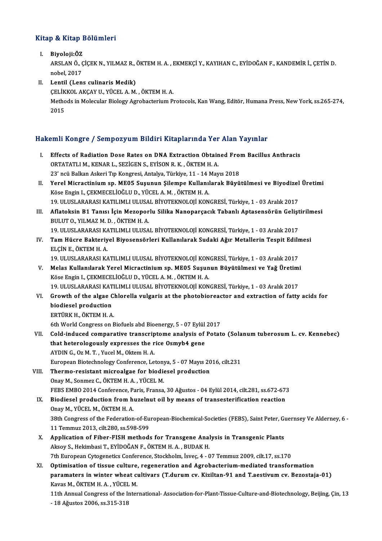## .<br>Kitap & Kitap Bölümleri itap & Kitap I<br>I. Biyoloji:ÖZ<br>APSLANÖ G

P & IIIdip Bolumici I<br>Biyoloji:ÖZ<br>ARSLAN Ö., ÇİÇEK N., YILMAZ R., ÖKTEM H. A. , EKMEKÇİ Y., KAYIHAN C., EYİDOĞAN F., KANDEMİR İ., ÇETİN D. Bi<mark>yoloji:ÖZ</mark><br>ARSLAN Ö., (<br>nobel, 2017<br>Lentil (Len

nobel, 2017<br>II. Lentil (Lens culinaris Medik) nobel, 2017<br>Lentil (Lens culinaris Medik)<br>ÇELİKKOL AKÇAY U., YÜCEL A. M. , ÖKTEM H. A.<br>Methode in Melesular Bielegy Agrebesterium B. Methods in Molecular Biology Agrobacterium Protocols, Kan Wang, Editör, Humana Press, New York, ss.265-274,<br>2015 ÇELİK<br>Metho<br>2015

# <sub>2015</sub><br>Hakemli Kongre / Sempozyum Bildiri Kitaplarında Yer Alan Yayınlar

akemli Kongre / Sempozyum Bildiri Kitaplarında Yer Alan Yayınlar<br>I. Effects of Radiation Dose Rates on DNA Extraction Obtained From Bacillus Anthracis<br>OPTATATLIM KENARL SEZICENS EVISON B.K. ÖKTEMH A I. Effects of Radiation Dose Rates on DNA Extraction Obtained From Bacillus Anthracis ORTATATLI M., KENAR L., SEZIGEN S., EYİSON R.K., ÖKTEM H. A. Effects of Radiation Dose Rates on DNA Extraction Obtained From<br>23' ncü Balkan Askeri Tıp Kongresi, Antalya, Türkiye, 11 - 14 Mayıs 2018<br>23' ncü Balkan Askeri Tıp Kongresi, Antalya, Türkiye, 11 - 14 Mayıs 2018<br>Yoral Misrae ORTATATLI M., KENAR L., SEZİGEN S., EYİSON R. K. , ÖKTEM H. A.<br>23' ncü Balkan Askeri Tıp Kongresi, Antalya, Türkiye, 11 - 14 Mayıs 2018<br>II. Yerel Micractinium sp. ME05 Suşunun Şilempe Kullanılarak Büyütülmesi ve Biyodizel 23' ncü Balkan Askeri Tıp Kongresi, Antalya, Türkiye, 11 - 14 l<br>Yerel Micractinium sp. ME05 Suşunun Şilempe Kullanıl<br>Köse Engin I., ÇEKMECELİOĞLU D., YÜCEL A.M. , ÖKTEM H. A.<br>19 ULUSI ARARASI KATU IMLI IILISAL RİVOTEKNOLOJ Yerel Micractinium sp. ME05 Suşunun Şilempe Kullanılarak Büyütülmesi ve Biyodizel<br>Köse Engin I., ÇEKMECELİOĞLU D., YÜCEL A. M. , ÖKTEM H. A.<br>19. ULUSLARARASI KATILIMLI ULUSAL BİYOTEKNOLOJİ KONGRESİ, Türkiye, 1 - 03 Aralık Köse Engin I., ÇEKMECELİOĞLU D., YÜCEL A. M. , ÖKTEM H. A.<br>19. ULUSLARARASI KATILIMLI ULUSAL BİYOTEKNOLOJİ KONGRESİ, Türkiye, 1 - 03 Aralık 2017<br>III. Aflatoksin B1 Tanısı İçin Mezoporlu Silika Nanoparçacık Tabanlı Aptasens 19. ULUSLARARASI KATILIMLI ULUSAL BİYOTEKNOLOJİ KONGRESİ, Türkiye, 1 - 03 Aralık 2017<br>Aflatoksin B1 Tanısı İçin Mezoporlu Silika Nanoparçacık Tabanlı Aptasensörün Geliş<br>BULUT O., YILMAZ M. D. , ÖKTEM H. A. Aflatoksin B1 Tanısı İçin Mezoporlu Silika Nanoparçacık Tabanlı Aptasensörün Gelişt<br>BULUT 0., YILMAZ M. D. , ÖKTEM H. A.<br>19. ULUSLARARASI KATILIMLI ULUSAL BİYOTEKNOLOJİ KONGRESİ, Türkiye, 1 - 03 Aralık 2017<br>Tam Hüsre Bakta IV. Tam Hücre Bakteriyel Biyosensörleri Kullanılarak Sudaki Ağır Metallerin Tespit Edilmesi<br>ELÇİN E., ÖKTEM H. A. 19. ULUSLARARASI KATILIMLI ULUSAL BİYOTEKNOLOJİ KONGRESİ, Türkiye, 1 - 03 Aralık 2017 Tam Hücre Bakteriyel Biyosensörleri Kullanılarak Sudaki Ağır Metallerin Tespit Edilr<br>ELÇİN E., ÖKTEM H. A.<br>19. ULUSLARARASI KATILIMLI ULUSAL BİYOTEKNOLOJİ KONGRESİ, Türkiye, 1 - 03 Aralık 2017<br>Malas Kullanılarak Yaral Misr ELÇİN E., ÖKTEM H. A.<br>19. ULUSLARARASI KATILIMLI ULUSAL BİYOTEKNOLOJİ KONGRESİ, Türkiye, 1 - 03 Aralık 2017<br>19. Melas Kullanılarak Yerel Micractinium sp. ME05 Suşunun Büyütülmesi ve Yağ Üretimi 19. ULUSLARARASI KATILIMLI ULUSAL BİYOTEKNOLOJİ KON<br>Melas Kullanılarak Yerel Micractinium sp. ME05 Suşun<br>Köse Engin I., ÇEKMECELİOĞLU D., YÜCEL A. M. , ÖKTEM H. A.<br>19. ULUSLARARASI KATILIMLI IILISAL RİYOTEKNOLOJİ KON Melas Kullanılarak Yerel Micractinium sp. ME05 Suşunun Büyütülmesi ve Yağ Üretim:<br>Köse Engin I., ÇEKMECELİOĞLU D., YÜCEL A. M. , ÖKTEM H. A.<br>19. ULUSLARARASI KATILIMLI ULUSAL BİYOTEKNOLOJİ KONGRESİ, Türkiye, 1 - 03 Aralık Köse Engin I., ÇEKMECELİOĞLU D., YÜCEL A. M. , ÖKTEM H. A.<br>19. ULUSLARARASI KATILIMLI ULUSAL BİYOTEKNOLOJİ KONGRESİ, Türkiye, 1 - 03 Aralık 2017<br>19. Growth of the algae Chlorella vulgaris at the photobioreactor and extract 19. ULUSLARARASI KAT<br>Growth of the algae C<br>biodiesel production<br>EPT<sup>(iDV</sup> H OVTEM H A Growth of the algae C.<br>biodiesel production<br>ERTÜRK H., ÖKTEM H. A.<br>Eth World Congress on E 6th World Congress on Biofuels abd Bioenergy, 5 - 07 Eylül 2017<br>6th World Congress on Biofuels abd Bioenergy, 5 - 07 Eylül 2017 ERTÜRK H., ÖKTEM H. A.<br>6th World Congress on Biofuels abd Bioenergy, 5 - 07 Eylül 2017<br>VII. Cold-induced comparative transcriptome analysis of Potato (Solanum tuberosum L. cv. Kennebec)<br>that betarelegevely expresses the ri 6th World Congress on Biofuels abd Bioenergy, 5 - 07 Eylül<br>Cold-induced comparative transcriptome analysis of<br>that heterologously expresses the rice Osmyb4 gene<br>AVDIN C. OF M.T. Vusel M. Oktom H.A. Cold-induced comparative transcrip<br>that heterologously expresses the r<br>AYDIN G., Oz M. T. , Yucel M., Oktem H. A.<br>European Bistechnology Conference, Le that heterologously expresses the rice Osmyb4 gene<br>AYDIN G., Oz M. T. , Yucel M., Oktem H. A.<br>European Biotechnology Conference, Letonya, 5 - 07 Mayıs 2016, cilt.231<br>Therme resistant misroelses for biodisesl production AYDIN G., Oz M. T., Yucel M., Oktem H. A.<br>European Biotechnology Conference, Letonya, 5 - 07 Mayıs 20<br>VIII. Thermo-resistant microalgae for biodiesel production<br>Oney M. Sonmer C. ÖVTEM H. A. VÜCEL M. European Biotechnology Conference, Letony<br>Thermo-resistant microalgae for biodio<br>Onay M., Sonmez C., ÖKTEM H. A. , YÜCEL M.<br>EERS EMPO 2014 Conference, Baris, Erange Thermo-resistant microalgae for biodiesel production<br>Onay M., Sonmez C., ÖKTEM H. A. , YÜCEL M.<br>FEBS EMBO 2014 Conference, Paris, Fransa, 30 Ağustos - 04 Eylül 2014, cilt.281, ss.672-673<br>Biodiesel production from burelput Onay M., Sonmez C., ÖKTEM H. A. , YÜCEL M.<br>FEBS EMBO 2014 Conference, Paris, Fransa, 30 Ağustos - 04 Eylül 2014, cilt.281, ss.672-67.<br>IX. Biodiesel production from huzelnut oil by means of transesterification reaction<br>Onay FEBS EMBO 2014 Conference, P.<br>Biodiesel production from h<br>Onay M., YÜCEL M., ÖKTEM H. A.<br><sup>29th</sup> Congress of the Eaderation 38thCongress of the Federation from huzelnut oil by means of transesterification reaction<br>Chay M., YÜCEL M., ÖKTEM H. A.<br>38th Congress of the Federation-of-European-Biochemical-Societies (FEBS), Saint Peter, Guernsey Ve Al Onay M., YÜCEL M., ÖKTEM H. A.<br>38th Congress of the Federation-of-Eu<br>11 Temmuz 2013, cilt.280, ss.598-599<br>Annligation of Eiber EISH mathod: 38th Congress of the Federation-of-European-Biochemical-Societies (FEBS), Saint Peter, Gundent 11 Temmuz 2013, cilt. 280, ss. 598-599<br>X. Application of Fiber-FISH methods for Transgene Analysis in Transgenic Plants<br>Algents 11 Temmuz 2013, cilt.280, ss.598-599<br>Application of Fiber-FISH methods for Transgene Anal<br>Aksoy S., Hekimbasi T., EYİDOĞAN F., ÖKTEM H. A. , BUDAK H.<br>7th Euronean Cytegenetics Conference Stockholm, İsyes 4 Application of Fiber-FISH methods for Transgene Analysis in Transgenic Plants<br>Aksoy S., Hekimbasi T., EYİDOĞAN F., ÖKTEM H. A. , BUDAK H.<br>7th European Cytogenetics Conference, Stockholm, İsveç, 4 - 07 Temmuz 2009, cilt.17, Aksoy S., Hekimbasi T., EYİDOĞAN F., ÖKTEM H. A. , BUDAK H.<br>7th European Cytogenetics Conference, Stockholm, İsveç, 4 - 07 Temmuz 2009, cilt.17, ss.170<br>XI. Optimisation of tissue culture, regeneration and Agrobacterium-med 7th European Cytogenetics Conference, Stockholm, İsveç, 4 - 07 Temmuz 2009, cilt.17, ss.170<br>Optimisation of tissue culture, regeneration and Agrobacterium-mediated transformation<br>paramaters in winter wheat cultivars (T.dur Optimisation of tissue culture,<br>paramaters in winter wheat culture<br>Kavas M., ÖKTEM H.A., YÜCEL M.<br>11th Annual Congress of the Inter 11th Annual Congress of the International-Association-for-Plant-Tissue-Culture-and-Biotechnology, Beijing, Çin, 13<br>- 18 Ağustos 2006, ss.315-318 Kavas M., ÖKTEM H. A., YÜCEL M.